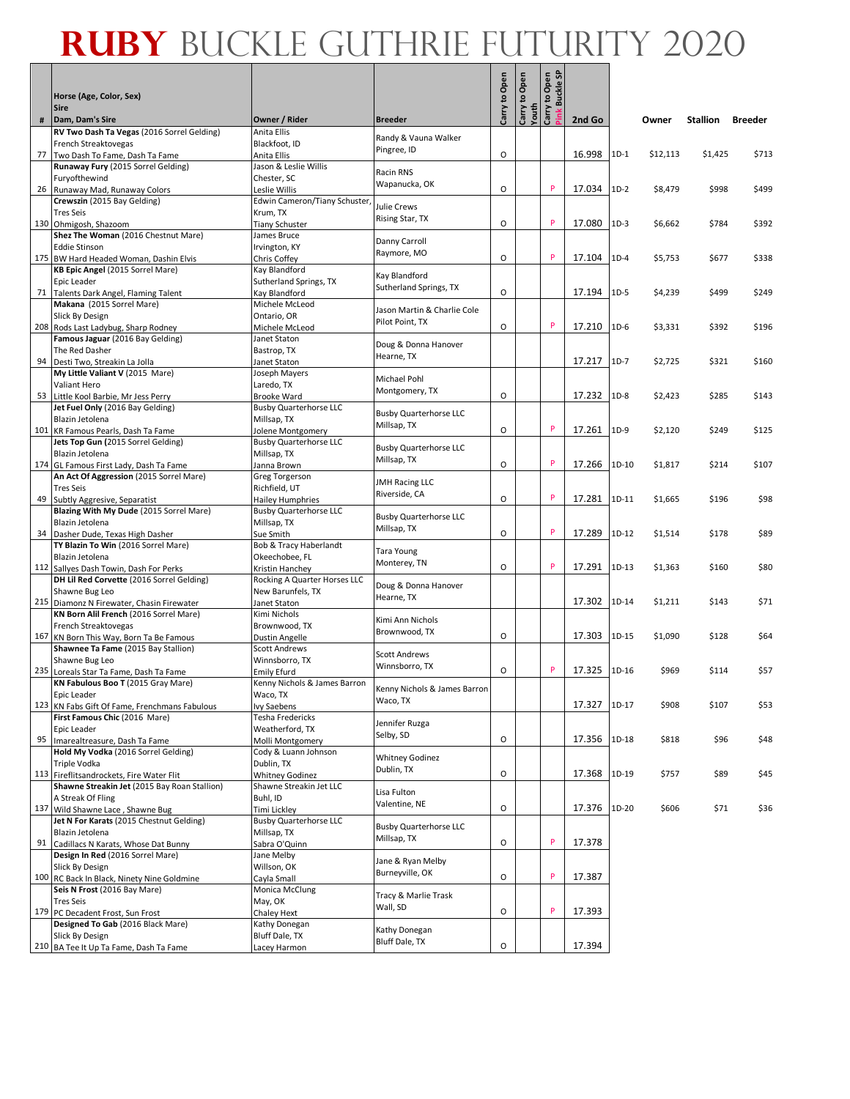Е

|   |                                                                                |                                               |                                              | to Open            | Open                                                  | y to Open<br>Buckle SP |              |         |          |                 |                |
|---|--------------------------------------------------------------------------------|-----------------------------------------------|----------------------------------------------|--------------------|-------------------------------------------------------|------------------------|--------------|---------|----------|-----------------|----------------|
|   | Horse (Age, Color, Sex)<br><b>Sire</b>                                         |                                               |                                              |                    | $\mathbf{S}% _{T}=\mathbf{S}_{T}\times\mathbf{S}_{T}$ | Carry to               |              |         |          |                 |                |
| # | Dam, Dam's Sire                                                                | Owner / Rider                                 | <b>Breeder</b>                               | Carry <sup>-</sup> | Youth<br>Carry                                        |                        | 2nd Go       |         | Owner    | <b>Stallion</b> | <b>Breeder</b> |
|   | RV Two Dash Ta Vegas (2016 Sorrel Gelding)                                     | Anita Ellis                                   | Randy & Vauna Walker                         |                    |                                                       |                        |              |         |          |                 |                |
|   | French Streaktovegas<br>77 Two Dash To Fame, Dash Ta Fame                      | Blackfoot, ID<br>Anita Ellis                  | Pingree, ID                                  | O                  |                                                       |                        | 16.998       | $1D-1$  | \$12,113 | \$1,425         | \$713          |
|   | Runaway Fury (2015 Sorrel Gelding)                                             | Jason & Leslie Willis                         |                                              |                    |                                                       |                        |              |         |          |                 |                |
|   | Furyofthewind                                                                  | Chester, SC                                   | Racin RNS<br>Wapanucka, OK                   |                    |                                                       |                        |              |         |          |                 |                |
|   | 26 Runaway Mad, Runaway Colors                                                 | Leslie Willis                                 |                                              | $\circ$            |                                                       | P                      | 17.034       | $1D-2$  | \$8,479  | \$998           | \$499          |
|   | Crewszin (2015 Bay Gelding)<br><b>Tres Seis</b>                                | Edwin Cameron/Tiany Schuster,<br>Krum, TX     | <b>Julie Crews</b>                           |                    |                                                       |                        |              |         |          |                 |                |
|   | 130 Ohmigosh, Shazoom                                                          | <b>Tiany Schuster</b>                         | Rising Star, TX                              | O                  |                                                       | P                      | 17.080       | $1D-3$  | \$6,662  | \$784           | \$392          |
|   | Shez The Woman (2016 Chestnut Mare)                                            | James Bruce                                   | Danny Carroll                                |                    |                                                       |                        |              |         |          |                 |                |
|   | <b>Eddie Stinson</b><br>175 BW Hard Headed Woman, Dashin Elvis                 | Irvington, KY                                 | Raymore, MO                                  | $\circ$            |                                                       | P                      | 17.104       | $1D-4$  | \$5,753  | \$677           | \$338          |
|   | KB Epic Angel (2015 Sorrel Mare)                                               | Chris Coffey<br>Kay Blandford                 |                                              |                    |                                                       |                        |              |         |          |                 |                |
|   | Epic Leader                                                                    | Sutherland Springs, TX                        | Kay Blandford                                |                    |                                                       |                        |              |         |          |                 |                |
|   | 71 Talents Dark Angel, Flaming Talent                                          | Kay Blandford                                 | Sutherland Springs, TX                       | $\circ$            |                                                       |                        | 17.194       | $1D-5$  | \$4,239  | \$499           | \$249          |
|   | Makana (2015 Sorrel Mare)<br>Slick By Design                                   | Michele McLeod<br>Ontario, OR                 | Jason Martin & Charlie Cole                  |                    |                                                       |                        |              |         |          |                 |                |
|   | 208 Rods Last Ladybug, Sharp Rodney                                            | Michele McLeod                                | Pilot Point, TX                              | O                  |                                                       | P                      | 17.210       | $1D-6$  | \$3,331  | \$392           | \$196          |
|   | Famous Jaguar (2016 Bay Gelding)                                               | Janet Staton                                  | Doug & Donna Hanover                         |                    |                                                       |                        |              |         |          |                 |                |
|   | The Red Dasher                                                                 | Bastrop, TX                                   | Hearne, TX                                   |                    |                                                       |                        |              |         |          |                 |                |
|   | 94 Desti Two, Streakin La Jolla<br>My Little Valiant V (2015 Mare)             | Janet Staton<br>Joseph Mayers                 |                                              |                    |                                                       |                        | 17.217       | $1D-7$  | \$2,725  | \$321           | \$160          |
|   | Valiant Hero                                                                   | Laredo, TX                                    | <b>Michael Pohl</b>                          |                    |                                                       |                        |              |         |          |                 |                |
|   | 53 Little Kool Barbie, Mr Jess Perry                                           | Brooke Ward                                   | Montgomery, TX                               | $\circ$            |                                                       |                        | 17.232       | $1D-8$  | \$2,423  | \$285           | \$143          |
|   | Jet Fuel Only (2016 Bay Gelding)                                               | <b>Busby Quarterhorse LLC</b>                 | <b>Busby Quarterhorse LLC</b>                |                    |                                                       |                        |              |         |          |                 |                |
|   | Blazin Jetolena<br>101 KR Famous Pearls, Dash Ta Fame                          | Millsap, TX<br>Jolene Montgomery              | Millsap, TX                                  | $\circ$            |                                                       | P                      | 17.261       | 1D-9    | \$2,120  | \$249           | \$125          |
|   | Jets Top Gun (2015 Sorrel Gelding)                                             | <b>Busby Quarterhorse LLC</b>                 |                                              |                    |                                                       |                        |              |         |          |                 |                |
|   | Blazin Jetolena                                                                | Millsap, TX                                   | <b>Busby Quarterhorse LLC</b><br>Millsap, TX |                    |                                                       |                        |              |         |          |                 |                |
|   | 174 GL Famous First Lady, Dash Ta Fame                                         | Janna Brown                                   |                                              | O                  |                                                       | P                      | 17.266       | 1D-10   | \$1,817  | \$214           | \$107          |
|   | An Act Of Aggression (2015 Sorrel Mare)<br><b>Tres Seis</b>                    | Greg Torgerson<br>Richfield, UT               | <b>JMH Racing LLC</b>                        |                    |                                                       |                        |              |         |          |                 |                |
|   | 49 Subtly Aggresive, Separatist                                                | <b>Hailey Humphries</b>                       | Riverside, CA                                | $\circ$            |                                                       | P                      | 17.281       | 1D-11   | \$1,665  | \$196           | \$98           |
|   | Blazing With My Dude (2015 Sorrel Mare)                                        | <b>Busby Quarterhorse LLC</b>                 | <b>Busby Quarterhorse LLC</b>                |                    |                                                       |                        |              |         |          |                 |                |
|   | Blazin Jetolena                                                                | Millsap, TX                                   | Millsap, TX                                  |                    |                                                       | P                      |              |         |          |                 |                |
|   | 34   Dasher Dude, Texas High Dasher<br>TY Blazin To Win (2016 Sorrel Mare)     | Sue Smith<br>Bob & Tracy Haberlandt           |                                              | O                  |                                                       |                        | 17.289       | $1D-12$ | \$1,514  | \$178           | \$89           |
|   | Blazin Jetolena                                                                | Okeechobee, FL                                | Tara Young                                   |                    |                                                       |                        |              |         |          |                 |                |
|   | 112 Sallyes Dash Towin, Dash For Perks                                         | Kristin Hanchey                               | Monterey, TN                                 | $\circ$            |                                                       | P                      | 17.291       | 1D-13   | \$1,363  | \$160           | \$80           |
|   | DH Lil Red Corvette (2016 Sorrel Gelding)                                      | Rocking A Quarter Horses LLC                  | Doug & Donna Hanover                         |                    |                                                       |                        |              |         |          |                 |                |
|   | Shawne Bug Leo<br>215 Diamonz N Firewater, Chasin Firewater                    | New Barunfels, TX<br>Janet Staton             | Hearne, TX                                   |                    |                                                       |                        | 17.302       | 1D-14   | \$1,211  | \$143           | \$71           |
|   | KN Born Alil French (2016 Sorrel Mare)                                         | Kimi Nichols                                  |                                              |                    |                                                       |                        |              |         |          |                 |                |
|   | French Streaktovegas                                                           | Brownwood, TX                                 | Kimi Ann Nichols<br>Brownwood, TX            |                    |                                                       |                        |              |         |          |                 |                |
|   | 167 KN Born This Way, Born Ta Be Famous                                        | Dustin Angelle                                |                                              | $\circ$            |                                                       |                        | 17.303       | 1D-15   | \$1,090  | \$128           | \$64           |
|   | Shawnee Ta Fame (2015 Bay Stallion)<br>Shawne Bug Leo                          | <b>Scott Andrews</b><br>Winnsborro, TX        | Scott Andrews                                |                    |                                                       |                        |              |         |          |                 |                |
|   | 235 Loreals Star Ta Fame, Dash Ta Fame                                         | Emily Efurd                                   | Winnsborro, TX                               | O                  |                                                       | P                      | 17.325       | 1D-16   | \$969    | \$114           | \$57           |
|   | KN Fabulous Boo T (2015 Gray Mare)                                             | Kenny Nichols & James Barron                  | Kenny Nichols & James Barron                 |                    |                                                       |                        |              |         |          |                 |                |
|   | Epic Leader                                                                    | waco, ix                                      | Waco, TX                                     |                    |                                                       |                        | 17.327       | $1D-17$ | \$908    | \$107           | \$53           |
|   | 123 KN Fabs Gift Of Fame, Frenchmans Fabulous<br>First Famous Chic (2016 Mare) | Ivy Saebens<br>Tesha Fredericks               |                                              |                    |                                                       |                        |              |         |          |                 |                |
|   | Epic Leader                                                                    | Weatherford, TX                               | Jennifer Ruzga                               |                    |                                                       |                        |              |         |          |                 |                |
|   | 95   Imarealtreasure, Dash Ta Fame                                             | Molli Montgomery                              | Selby, SD                                    | O                  |                                                       |                        | 17.356       | 1D-18   | \$818    | \$96            | \$48           |
|   | Hold My Vodka (2016 Sorrel Gelding)<br><b>Triple Vodka</b>                     | Cody & Luann Johnson<br>Dublin, TX            | <b>Whitney Godinez</b>                       |                    |                                                       |                        |              |         |          |                 |                |
|   | 113 Fireflitsandrockets, Fire Water Flit                                       | <b>Whitney Godinez</b>                        | Dublin, TX                                   | O                  |                                                       |                        | 17.368 1D-19 |         | \$757    | \$89            | \$45           |
|   | Shawne Streakin Jet (2015 Bay Roan Stallion)                                   | Shawne Streakin Jet LLC                       | Lisa Fulton                                  |                    |                                                       |                        |              |         |          |                 |                |
|   | A Streak Of Fling                                                              | Buhl, ID                                      | Valentine, NE                                |                    |                                                       |                        |              |         |          |                 |                |
|   | 137 Wild Shawne Lace, Shawne Bug<br>Jet N For Karats (2015 Chestnut Gelding)   | Timi Lickley<br><b>Busby Quarterhorse LLC</b> |                                              | O                  |                                                       |                        | 17.376 1D-20 |         | \$606    | \$71            | \$36           |
|   | Blazin Jetolena                                                                | Millsap, TX                                   | <b>Busby Quarterhorse LLC</b>                |                    |                                                       |                        |              |         |          |                 |                |
|   | 91 Cadillacs N Karats, Whose Dat Bunny                                         | Sabra O'Quinn                                 | Millsap, TX                                  | O                  |                                                       | P                      | 17.378       |         |          |                 |                |
|   | Design In Red (2016 Sorrel Mare)                                               | Jane Melby                                    | Jane & Ryan Melby                            |                    |                                                       |                        |              |         |          |                 |                |
|   | Slick By Design<br>100 RC Back In Black, Ninety Nine Goldmine                  | Willson, OK<br>Cayla Small                    | Burneyville, OK                              | O                  |                                                       | P                      | 17.387       |         |          |                 |                |
|   | Seis N Frost (2016 Bay Mare)                                                   | Monica McClung                                |                                              |                    |                                                       |                        |              |         |          |                 |                |
|   | <b>Tres Seis</b>                                                               | May, OK                                       | Tracy & Marlie Trask<br>Wall, SD             |                    |                                                       |                        |              |         |          |                 |                |
|   | 179 PC Decadent Frost, Sun Frost                                               | Chaley Hext                                   |                                              | O                  |                                                       | P                      | 17.393       |         |          |                 |                |
|   | Designed To Gab (2016 Black Mare)<br>Slick By Design                           | Kathy Donegan<br>Bluff Dale, TX               | Kathy Donegan                                |                    |                                                       |                        |              |         |          |                 |                |
|   | 210 BA Tee It Up Ta Fame, Dash Ta Fame                                         | Lacey Harmon                                  | Bluff Dale, TX                               | O                  |                                                       |                        | 17.394       |         |          |                 |                |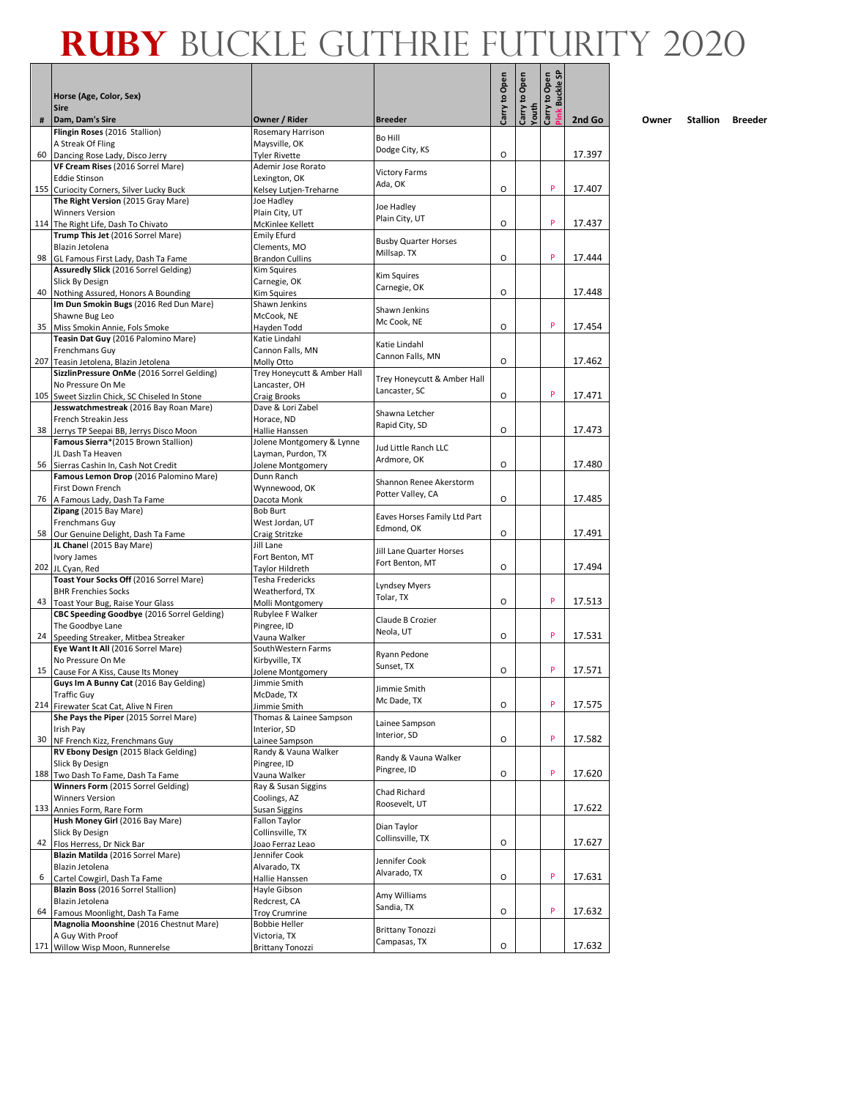|                 |                                                                                 |                                            |                                              | Carry to Open | Carry to Open<br>Youth | Carry to Open<br><b>Buckle SF</b> |        |
|-----------------|---------------------------------------------------------------------------------|--------------------------------------------|----------------------------------------------|---------------|------------------------|-----------------------------------|--------|
|                 | Horse (Age, Color, Sex)<br><b>Sire</b>                                          |                                            |                                              |               |                        |                                   |        |
| #               | Dam, Dam's Sire                                                                 | Owner / Rider                              | <b>Breeder</b>                               |               |                        |                                   | 2nd Go |
|                 | Flingin Roses (2016 Stallion)                                                   | Rosemary Harrison                          | Bo Hill                                      |               |                        |                                   |        |
|                 | A Streak Of Fling                                                               | Maysville, OK                              | Dodge City, KS                               |               |                        |                                   |        |
|                 | 60 Dancing Rose Lady, Disco Jerry<br>VF Cream Rises (2016 Sorrel Mare)          | <b>Tyler Rivette</b><br>Ademir Jose Rorato |                                              | O             |                        |                                   | 17.397 |
|                 | <b>Eddie Stinson</b>                                                            | Lexington, OK                              | <b>Victory Farms</b>                         |               |                        |                                   |        |
|                 | 155 Curiocity Corners, Silver Lucky Buck                                        | Kelsey Lutjen-Treharne                     | Ada, OK                                      | O             |                        | P                                 | 17.407 |
|                 | The Right Version (2015 Gray Mare)                                              | Joe Hadley                                 | Joe Hadley                                   |               |                        |                                   |        |
|                 | <b>Winners Version</b>                                                          | Plain City, UT                             | Plain City, UT                               | O             |                        | P                                 | 17.437 |
|                 | 114 The Right Life, Dash To Chivato<br>Trump This Jet (2016 Sorrel Mare)        | McKinlee Kellett<br><b>Emily Efurd</b>     |                                              |               |                        |                                   |        |
|                 | Blazin Jetolena                                                                 | Clements, MO                               | <b>Busby Quarter Horses</b>                  |               |                        |                                   |        |
| 98 I            | GL Famous First Lady, Dash Ta Fame                                              | <b>Brandon Cullins</b>                     | Millsap. TX                                  | $\circ$       |                        | P                                 | 17.444 |
|                 | Assuredly Slick (2016 Sorrel Gelding)                                           | Kim Squires                                | Kim Squires                                  |               |                        |                                   |        |
|                 | Slick By Design<br>40 Nothing Assured, Honors A Bounding                        | Carnegie, OK<br>Kim Squires                | Carnegie, OK                                 | O             |                        |                                   | 17.448 |
|                 | Im Dun Smokin Bugs (2016 Red Dun Mare)                                          | Shawn Jenkins                              |                                              |               |                        |                                   |        |
|                 | Shawne Bug Leo                                                                  | McCook, NE                                 | Shawn Jenkins<br>Mc Cook, NE                 |               |                        |                                   |        |
|                 | 35 Miss Smokin Annie, Fols Smoke                                                | Hayden Todd                                |                                              | O             |                        | P                                 | 17.454 |
|                 | Teasin Dat Guy (2016 Palomino Mare)<br>Frenchmans Guy                           | Katie Lindahl<br>Cannon Falls, MN          | Katie Lindahl                                |               |                        |                                   |        |
|                 | 207 Teasin Jetolena, Blazin Jetolena                                            | Molly Otto                                 | Cannon Falls, MN                             | O             |                        |                                   | 17.462 |
|                 | SizzlinPressure OnMe (2016 Sorrel Gelding)                                      | Trey Honeycutt & Amber Hall                |                                              |               |                        |                                   |        |
|                 | No Pressure On Me                                                               | Lancaster, OH                              | Trey Honeycutt & Amber Hall<br>Lancaster, SC |               |                        |                                   |        |
|                 | 105 Sweet Sizzlin Chick, SC Chiseled In Stone                                   | Craig Brooks                               |                                              | O             |                        | P                                 | 17.471 |
|                 | Jesswatchmestreak (2016 Bay Roan Mare)<br>French Streakin Jess                  | Dave & Lori Zabel<br>Horace, ND            | Shawna Letcher                               |               |                        |                                   |        |
|                 | 38 Jerrys TP Seepai BB, Jerrys Disco Moon                                       | Hallie Hanssen                             | Rapid City, SD                               | O             |                        |                                   | 17.473 |
|                 | Famous Sierra*(2015 Brown Stallion)                                             | Jolene Montgomery & Lynne                  | Jud Little Ranch LLC                         |               |                        |                                   |        |
|                 | JL Dash Ta Heaven                                                               | Layman, Purdon, TX                         | Ardmore, OK                                  |               |                        |                                   |        |
|                 | 56 Sierras Cashin In, Cash Not Credit<br>Famous Lemon Drop (2016 Palomino Mare) | Jolene Montgomery<br>Dunn Ranch            |                                              | O             |                        |                                   | 17.480 |
|                 | First Down French                                                               | Wynnewood, OK                              | Shannon Renee Akerstorm                      |               |                        |                                   |        |
|                 | 76   A Famous Lady, Dash Ta Fame                                                | Dacota Monk                                | Potter Valley, CA                            | O             |                        |                                   | 17.485 |
|                 | Zipang (2015 Bay Mare)                                                          | <b>Bob Burt</b>                            | Eaves Horses Family Ltd Part                 |               |                        |                                   |        |
|                 | Frenchmans Guy                                                                  | West Jordan, UT                            | Edmond, OK                                   | O             |                        |                                   | 17.491 |
|                 | 58 Our Genuine Delight, Dash Ta Fame<br>JL Chanel (2015 Bay Mare)               | Craig Stritzke<br>Jill Lane                |                                              |               |                        |                                   |        |
|                 | Ivory James                                                                     | Fort Benton, MT                            | Jill Lane Quarter Horses                     |               |                        |                                   |        |
|                 | 202 JL Cyan, Red                                                                | Taylor Hildreth                            | Fort Benton, MT                              | O             |                        |                                   | 17.494 |
|                 | Toast Your Socks Off (2016 Sorrel Mare)                                         | Tesha Fredericks                           | Lyndsey Myers                                |               |                        |                                   |        |
| 43              | <b>BHR Frenchies Socks</b><br>Toast Your Bug, Raise Your Glass                  | Weatherford, TX<br>Molli Montgomery        | Tolar, TX                                    | O             |                        | P                                 | 17.513 |
|                 | CBC Speeding Goodbye (2016 Sorrel Gelding)                                      | Rubylee F Walker                           |                                              |               |                        |                                   |        |
|                 | The Goodbye Lane                                                                | Pingree, ID                                | Claude B Crozier<br>Neola, UT                |               |                        |                                   |        |
| 24              | Speeding Streaker, Mitbea Streaker                                              | Vauna Walker                               |                                              | O             |                        | P                                 | 17.531 |
|                 | Eye Want It All (2016 Sorrel Mare)<br>No Pressure On Me                         | SouthWestern Farms<br>Kirbyville, TX       | Ryann Pedone                                 |               |                        |                                   |        |
| 15 <sup>1</sup> | Cause For A Kiss, Cause Its Money                                               | Jolene Montgomery                          | Sunset, TX                                   | O             |                        | P                                 | 17.571 |
|                 | Guys Im A Bunny Cat (2016 Bay Gelding)                                          | Jimmie Smith                               | Jimmie Smith                                 |               |                        |                                   |        |
|                 | Traffic Guy                                                                     | McDade, TX                                 | Mc Dade, TX                                  |               |                        | P                                 |        |
|                 | 214 Firewater Scat Cat, Alive N Firen<br>She Pays the Piper (2015 Sorrel Mare)  | Jimmie Smith<br>Thomas & Lainee Sampson    |                                              | O             |                        |                                   | 17.575 |
|                 | Irish Pay                                                                       | Interior, SD                               | Lainee Sampson                               |               |                        |                                   |        |
|                 | 30 NF French Kizz, Frenchmans Guy                                               | Lainee Sampson                             | Interior, SD                                 | О             |                        | P                                 | 17.582 |
|                 | RV Ebony Design (2015 Black Gelding)                                            | Randy & Vauna Walker                       | Randy & Vauna Walker                         |               |                        |                                   |        |
|                 | Slick By Design<br>188 Two Dash To Fame, Dash Ta Fame                           | Pingree, ID<br>Vauna Walker                | Pingree, ID                                  | O             |                        | P                                 | 17.620 |
|                 | Winners Form (2015 Sorrel Gelding)                                              | Ray & Susan Siggins                        |                                              |               |                        |                                   |        |
|                 | <b>Winners Version</b>                                                          | Coolings, AZ                               | Chad Richard                                 |               |                        |                                   |        |
|                 | 133 Annies Form, Rare Form                                                      | <b>Susan Siggins</b>                       | Roosevelt, UT                                |               |                        |                                   | 17.622 |
|                 | Hush Money Girl (2016 Bay Mare)<br>Slick By Design                              | Fallon Taylor                              | Dian Taylor                                  |               |                        |                                   |        |
|                 | 42 Flos Herress, Dr Nick Bar                                                    | Collinsville, TX<br>Joao Ferraz Leao       | Collinsville, TX                             | 0             |                        |                                   | 17.627 |
|                 | Blazin Matilda (2016 Sorrel Mare)                                               | Jennifer Cook                              |                                              |               |                        |                                   |        |
|                 | Blazin Jetolena                                                                 | Alvarado, TX                               | Jennifer Cook<br>Alvarado, TX                |               |                        |                                   |        |
| 6               | Cartel Cowgirl, Dash Ta Fame                                                    | Hallie Hanssen                             |                                              | 0             |                        | P                                 | 17.631 |
|                 | Blazin Boss (2016 Sorrel Stallion)<br>Blazin Jetolena                           | Hayle Gibson<br>Redcrest, CA               | Amy Williams                                 |               |                        |                                   |        |
| 64              | Famous Moonlight, Dash Ta Fame                                                  | <b>Troy Crumrine</b>                       | Sandia, TX                                   | O             |                        | P                                 | 17.632 |
|                 | Magnolia Moonshine (2016 Chestnut Mare)                                         | <b>Bobbie Heller</b>                       | <b>Brittany Tonozzi</b>                      |               |                        |                                   |        |
|                 | A Guy With Proof                                                                | Victoria, TX                               | Campasas, TX                                 |               |                        |                                   |        |
|                 | 171 Willow Wisp Moon, Runnerelse                                                | <b>Brittany Tonozzi</b>                    |                                              | O             |                        |                                   | 17.632 |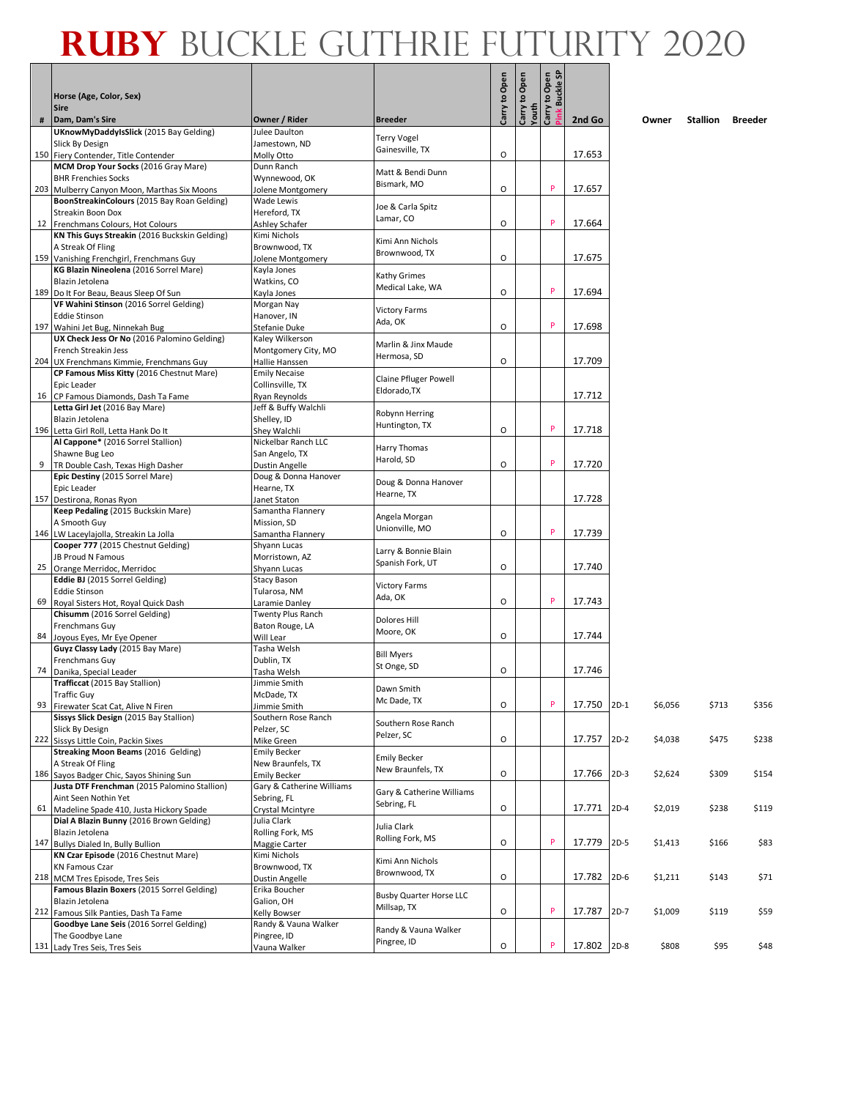|    | Horse (Age, Color, Sex)<br><b>Sire</b>                                                 |                                          |                                  | Carry to Open | Open<br>Carry to<br>Youth | Carry to Open<br>Pink Buckle SP |        |        |         |          |                |
|----|----------------------------------------------------------------------------------------|------------------------------------------|----------------------------------|---------------|---------------------------|---------------------------------|--------|--------|---------|----------|----------------|
| #  | Dam, Dam's Sire                                                                        | Owner / Rider                            | <b>Breeder</b>                   |               |                           |                                 | 2nd Go |        | Owner   | Stallion | <b>Breeder</b> |
|    | <b>UKnowMyDaddyIsSlick</b> (2015 Bay Gelding)                                          | Julee Daulton                            | Terry Vogel                      |               |                           |                                 |        |        |         |          |                |
|    | Slick By Design                                                                        | Jamestown, ND                            | Gainesville, TX                  | O             |                           |                                 | 17.653 |        |         |          |                |
|    | 150 Fiery Contender, Title Contender<br>MCM Drop Your Socks (2016 Gray Mare)           | Molly Otto<br>Dunn Ranch                 |                                  |               |                           |                                 |        |        |         |          |                |
|    | <b>BHR Frenchies Socks</b>                                                             | Wynnewood, OK                            | Matt & Bendi Dunn                |               |                           |                                 |        |        |         |          |                |
|    | 203 Mulberry Canyon Moon, Marthas Six Moons                                            | Jolene Montgomery                        | Bismark, MO                      | O             |                           | P                               | 17.657 |        |         |          |                |
|    | BoonStreakinColours (2015 Bay Roan Gelding)                                            | Wade Lewis                               | Joe & Carla Spitz                |               |                           |                                 |        |        |         |          |                |
|    | Streakin Boon Dox                                                                      | Hereford, TX                             | Lamar, CO                        |               |                           | P                               |        |        |         |          |                |
|    | 12 Frenchmans Colours, Hot Colours<br>KN This Guys Streakin (2016 Buckskin Gelding)    | Ashley Schafer<br>Kimi Nichols           |                                  | O             |                           |                                 | 17.664 |        |         |          |                |
|    | A Streak Of Fling                                                                      | Brownwood, TX                            | Kimi Ann Nichols                 |               |                           |                                 |        |        |         |          |                |
|    | 159 Vanishing Frenchgirl, Frenchmans Guy                                               | Jolene Montgomery                        | Brownwood, TX                    | $\circ$       |                           |                                 | 17.675 |        |         |          |                |
|    | KG Blazin Nineolena (2016 Sorrel Mare)                                                 | Kayla Jones                              | Kathy Grimes                     |               |                           |                                 |        |        |         |          |                |
|    | Blazin Jetolena                                                                        | Watkins, CO                              | Medical Lake, WA                 |               |                           | P                               |        |        |         |          |                |
|    | 189 Do It For Beau, Beaus Sleep Of Sun<br>VF Wahini Stinson (2016 Sorrel Gelding)      | Kayla Jones<br>Morgan Nay                |                                  | O             |                           |                                 | 17.694 |        |         |          |                |
|    | <b>Eddie Stinson</b>                                                                   | Hanover, IN                              | <b>Victory Farms</b>             |               |                           |                                 |        |        |         |          |                |
|    | 197 Wahini Jet Bug, Ninnekah Bug                                                       | Stefanie Duke                            | Ada, OK                          | O             |                           | P                               | 17.698 |        |         |          |                |
|    | UX Check Jess Or No (2016 Palomino Gelding)                                            | Kaley Wilkerson                          | Marlin & Jinx Maude              |               |                           |                                 |        |        |         |          |                |
|    | French Streakin Jess                                                                   | Montgomery City, MO                      | Hermosa, SD                      |               |                           |                                 |        |        |         |          |                |
|    | 204 UX Frenchmans Kimmie, Frenchmans Guy<br>CP Famous Miss Kitty (2016 Chestnut Mare)  | Hallie Hanssen<br><b>Emily Necaise</b>   |                                  | O             |                           |                                 | 17.709 |        |         |          |                |
|    | Epic Leader                                                                            | Collinsville, TX                         | <b>Claine Pfluger Powell</b>     |               |                           |                                 |        |        |         |          |                |
|    | 16 CP Famous Diamonds, Dash Ta Fame                                                    | Ryan Reynolds                            | Eldorado, TX                     |               |                           |                                 | 17.712 |        |         |          |                |
|    | Letta Girl Jet (2016 Bay Mare)                                                         | Jeff & Buffy Walchli                     | Robynn Herring                   |               |                           |                                 |        |        |         |          |                |
|    | Blazin Jetolena                                                                        | Shelley, ID                              | Huntington, TX                   |               |                           | P                               |        |        |         |          |                |
|    | 196 Letta Girl Roll, Letta Hank Do It<br>Al Cappone* (2016 Sorrel Stallion)            | Shey Walchli<br>Nickelbar Ranch LLC      |                                  | O             |                           |                                 | 17.718 |        |         |          |                |
|    | Shawne Bug Leo                                                                         | San Angelo, TX                           | Harry Thomas                     |               |                           |                                 |        |        |         |          |                |
|    | 9 TR Double Cash, Texas High Dasher                                                    | Dustin Angelle                           | Harold, SD                       | O             |                           | P                               | 17.720 |        |         |          |                |
|    | Epic Destiny (2015 Sorrel Mare)                                                        | Doug & Donna Hanover                     | Doug & Donna Hanover             |               |                           |                                 |        |        |         |          |                |
|    | Epic Leader                                                                            | Hearne, TX                               | Hearne, TX                       |               |                           |                                 | 17.728 |        |         |          |                |
|    | 157 Destirona, Ronas Ryon<br>Keep Pedaling (2015 Buckskin Mare)                        | Janet Staton<br>Samantha Flannery        |                                  |               |                           |                                 |        |        |         |          |                |
|    | A Smooth Guy                                                                           | Mission, SD                              | Angela Morgan                    |               |                           |                                 |        |        |         |          |                |
|    | 146 LW Laceylajolla, Streakin La Jolla                                                 | Samantha Flannery                        | Unionville, MO                   | O             |                           | P                               | 17.739 |        |         |          |                |
|    | Cooper 777 (2015 Chestnut Gelding)                                                     | Shyann Lucas                             | Larry & Bonnie Blain             |               |                           |                                 |        |        |         |          |                |
|    | JB Proud N Famous<br>25 Orange Merridoc, Merridoc                                      | Morristown, AZ<br>Shyann Lucas           | Spanish Fork, UT                 | $\circ$       |                           |                                 | 17.740 |        |         |          |                |
|    | Eddie BJ (2015 Sorrel Gelding)                                                         | <b>Stacy Bason</b>                       |                                  |               |                           |                                 |        |        |         |          |                |
|    | <b>Eddie Stinson</b>                                                                   | Tularosa, NM                             | <b>Victory Farms</b>             |               |                           |                                 |        |        |         |          |                |
| 69 | Royal Sisters Hot, Royal Quick Dash                                                    | Laramie Danley                           | Ada, OK                          | O             |                           | P                               | 17.743 |        |         |          |                |
|    | Chisumm (2016 Sorrel Gelding)                                                          | Twenty Plus Ranch                        | Dolores Hill                     |               |                           |                                 |        |        |         |          |                |
|    | Frenchmans Guy<br>84 Joyous Eyes, Mr Eye Opener                                        | Baton Rouge, LA<br>Will Lear             | Moore, OK                        | O             |                           |                                 | 17.744 |        |         |          |                |
|    | Guyz Classy Lady (2015 Bay Mare)                                                       | Tasha Welsh                              |                                  |               |                           |                                 |        |        |         |          |                |
|    | Frenchmans Guy                                                                         | Dublin, TX                               | <b>Bill Myers</b><br>St Onge, SD |               |                           |                                 |        |        |         |          |                |
|    | 74 Danika, Special Leader                                                              | Tasha Welsh                              |                                  | 0             |                           |                                 | 17.746 |        |         |          |                |
|    | Trafficcat (2015 Bay Stallion)<br>Traffic Guy                                          | Jimmie Smith<br>McDade, TX               | Dawn Smith                       |               |                           |                                 |        |        |         |          |                |
|    | 93 Firewater Scat Cat, Alive N Firen                                                   | Jimmie Smith                             | Mc Dade, TX                      | O             |                           | P                               | 17.750 | $2D-1$ | \$6,056 | \$713    | \$356          |
|    | Sissys Slick Design (2015 Bay Stallion)                                                | Southern Rose Ranch                      | Southern Rose Ranch              |               |                           |                                 |        |        |         |          |                |
|    | Slick By Design                                                                        | Pelzer, SC                               | Pelzer, SC                       |               |                           |                                 |        |        |         |          |                |
|    | 222 Sissys Little Coin, Packin Sixes<br>Streaking Moon Beams (2016 Gelding)            | Mike Green                               |                                  | O             |                           |                                 | 17.757 | $2D-2$ | \$4,038 | \$475    | \$238          |
|    | A Streak Of Fling                                                                      | <b>Emily Becker</b><br>New Braunfels, TX | <b>Emily Becker</b>              |               |                           |                                 |        |        |         |          |                |
|    | 186 Sayos Badger Chic, Sayos Shining Sun                                               | <b>Emily Becker</b>                      | New Braunfels, TX                | O             |                           |                                 | 17.766 | $2D-3$ | \$2,624 | \$309    | \$154          |
|    | Justa DTF Frenchman (2015 Palomino Stallion)                                           | Gary & Catherine Williams                | Gary & Catherine Williams        |               |                           |                                 |        |        |         |          |                |
|    | Aint Seen Nothin Yet                                                                   | Sebring, FL                              | Sebring, FL                      |               |                           |                                 |        |        |         |          |                |
|    | 61 Madeline Spade 410, Justa Hickory Spade<br>Dial A Blazin Bunny (2016 Brown Gelding) | Crystal Mcintyre<br>Julia Clark          |                                  | O             |                           |                                 | 17.771 | $2D-4$ | \$2,019 | \$238    | \$119          |
|    | Blazin Jetolena                                                                        | Rolling Fork, MS                         | Julia Clark                      |               |                           |                                 |        |        |         |          |                |
|    | 147 Bullys Dialed In, Bully Bullion                                                    | Maggie Carter                            | Rolling Fork, MS                 | O             |                           | P                               | 17.779 | $2D-5$ | \$1,413 | \$166    | \$83           |
|    | KN Czar Episode (2016 Chestnut Mare)                                                   | Kimi Nichols                             | Kimi Ann Nichols                 |               |                           |                                 |        |        |         |          |                |
|    | <b>KN Famous Czar</b>                                                                  | Brownwood, TX                            | Brownwood, TX                    | O             |                           |                                 | 17.782 | $2D-6$ |         |          |                |
|    | 218 MCM Tres Episode, Tres Seis<br>Famous Blazin Boxers (2015 Sorrel Gelding)          | Dustin Angelle<br>Erika Boucher          |                                  |               |                           |                                 |        |        | \$1,211 | \$143    | \$71           |
|    | Blazin Jetolena                                                                        | Galion, OH                               | <b>Busby Quarter Horse LLC</b>   |               |                           |                                 |        |        |         |          |                |
|    | 212 Famous Silk Panties, Dash Ta Fame                                                  | Kelly Bowser                             | Millsap, TX                      | O             |                           | P                               | 17.787 | $2D-7$ | \$1,009 | \$119    | \$59           |
|    | Goodbye Lane Seis (2016 Sorrel Gelding)                                                | Randy & Vauna Walker                     | Randy & Vauna Walker             |               |                           |                                 |        |        |         |          |                |
|    | The Goodbye Lane<br>131 Lady Tres Seis, Tres Seis                                      | Pingree, ID<br>Vauna Walker              | Pingree, ID                      | O             |                           | $\mathsf{P}$                    | 17.802 | $2D-8$ | \$808   | \$95     | \$48           |
|    |                                                                                        |                                          |                                  |               |                           |                                 |        |        |         |          |                |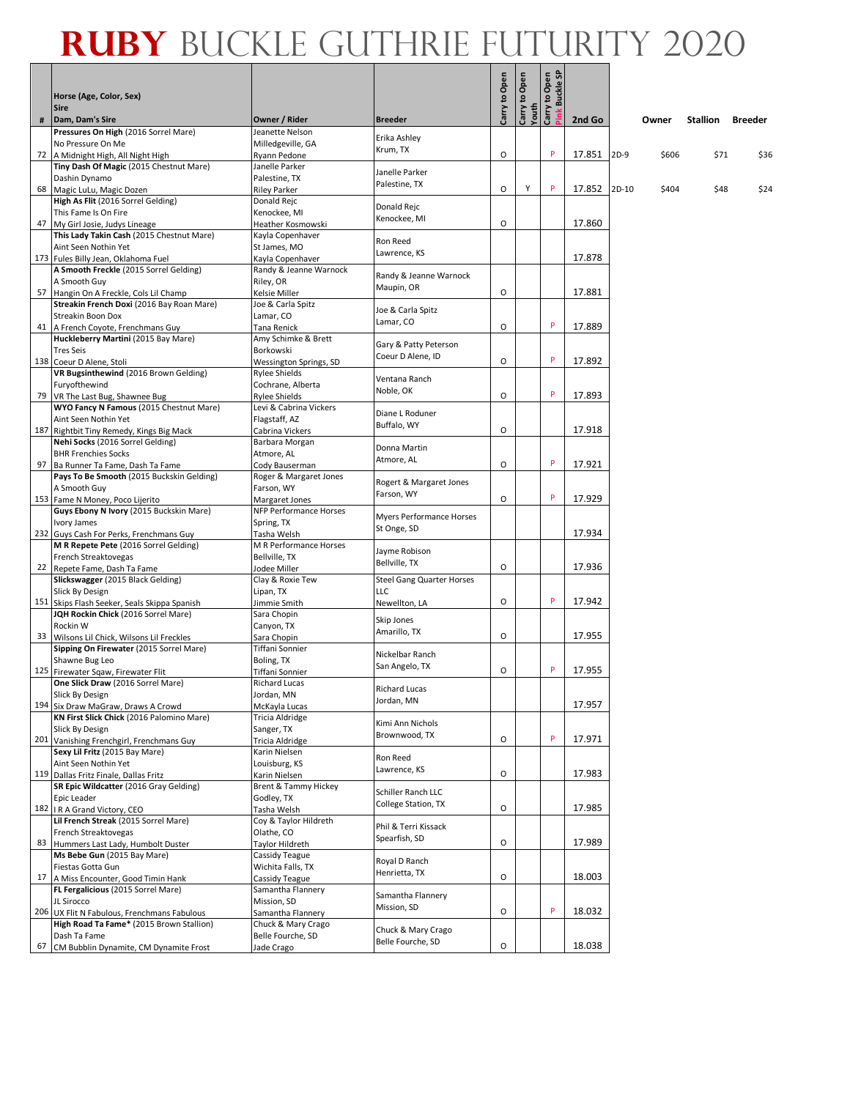|   | Horse (Age, Color, Sex)<br><b>Sire</b>                                                  |                                         |                                    | Carry to Open | Open<br>Carry to (<br>Youth | y to Open<br>Buckle SP |        |        |       |          |                |
|---|-----------------------------------------------------------------------------------------|-----------------------------------------|------------------------------------|---------------|-----------------------------|------------------------|--------|--------|-------|----------|----------------|
| # | Dam, Dam's Sire                                                                         | Owner / Rider                           | <b>Breeder</b>                     |               |                             | Carry <sup>-</sup>     | 2nd Go |        | Owner | Stallion | <b>Breeder</b> |
|   | Pressures On High (2016 Sorrel Mare)                                                    | Jeanette Nelson                         | Erika Ashley                       |               |                             |                        |        |        |       |          |                |
|   | No Pressure On Me                                                                       | Milledgeville, GA                       | Krum, TX                           | O             |                             | P                      | 17.851 | $2D-9$ | \$606 | \$71     | \$36           |
|   | 72 A Midnight High, All Night High<br>Tiny Dash Of Magic (2015 Chestnut Mare)           | Ryann Pedone<br>Janelle Parker          |                                    |               |                             |                        |        |        |       |          |                |
|   | Dashin Dynamo                                                                           | Palestine, TX                           | Janelle Parker                     |               |                             |                        |        |        |       |          |                |
|   | 68 Magic LuLu, Magic Dozen                                                              | <b>Riley Parker</b>                     | Palestine, TX                      | O             | Υ                           | P                      | 17.852 | 2D-10  | \$404 | \$48     | \$24           |
|   | High As Flit (2016 Sorrel Gelding)                                                      | Donald Rejc                             | Donald Rejc                        |               |                             |                        |        |        |       |          |                |
|   | This Fame Is On Fire<br>47 My Girl Josie, Judys Lineage                                 | Kenockee, MI<br>Heather Kosmowski       | Kenockee, MI                       | O             |                             |                        | 17.860 |        |       |          |                |
|   | This Lady Takin Cash (2015 Chestnut Mare)                                               | Kayla Copenhaver                        |                                    |               |                             |                        |        |        |       |          |                |
|   | Aint Seen Nothin Yet                                                                    | St James, MO                            | Ron Reed                           |               |                             |                        |        |        |       |          |                |
|   | 173 Fules Billy Jean, Oklahoma Fuel                                                     | Kayla Copenhaver                        | Lawrence, KS                       |               |                             |                        | 17.878 |        |       |          |                |
|   | A Smooth Freckle (2015 Sorrel Gelding)                                                  | Randy & Jeanne Warnock                  | Randy & Jeanne Warnock             |               |                             |                        |        |        |       |          |                |
|   | A Smooth Guy<br>57 Hangin On A Freckle, Cols Lil Champ                                  | Riley, OR<br>Kelsie Miller              | Maupin, OR                         | O             |                             |                        | 17.881 |        |       |          |                |
|   | Streakin French Doxi (2016 Bay Roan Mare)                                               | Joe & Carla Spitz                       |                                    |               |                             |                        |        |        |       |          |                |
|   | Streakin Boon Dox                                                                       | Lamar, CO                               | Joe & Carla Spitz<br>Lamar, CO     |               |                             |                        |        |        |       |          |                |
|   | 41 A French Coyote, Frenchmans Guy                                                      | Tana Renick                             |                                    | O             |                             | P                      | 17.889 |        |       |          |                |
|   | Huckleberry Martini (2015 Bay Mare)                                                     | Amy Schimke & Brett                     | Gary & Patty Peterson              |               |                             |                        |        |        |       |          |                |
|   | <b>Tres Seis</b><br>138 Coeur D Alene, Stoli                                            | Borkowski<br>Wessington Springs, SD     | Coeur D Alene, ID                  | O             |                             | P                      | 17.892 |        |       |          |                |
|   | VR Bugsinthewind (2016 Brown Gelding)                                                   | <b>Rylee Shields</b>                    |                                    |               |                             |                        |        |        |       |          |                |
|   | Furyofthewind                                                                           | Cochrane, Alberta                       | Ventana Ranch<br>Noble, OK         |               |                             |                        |        |        |       |          |                |
|   | 79 VR The Last Bug, Shawnee Bug                                                         | Rylee Shields                           |                                    | $\circ$       |                             | P                      | 17.893 |        |       |          |                |
|   | WYO Fancy N Famous (2015 Chestnut Mare)<br>Aint Seen Nothin Yet                         | Levi & Cabrina Vickers<br>Flagstaff, AZ | Diane L Roduner                    |               |                             |                        |        |        |       |          |                |
|   | 187 Rightbit Tiny Remedy, Kings Big Mack                                                | Cabrina Vickers                         | Buffalo, WY                        | O             |                             |                        | 17.918 |        |       |          |                |
|   | Nehi Socks (2016 Sorrel Gelding)                                                        | Barbara Morgan                          |                                    |               |                             |                        |        |        |       |          |                |
|   | <b>BHR Frenchies Socks</b>                                                              | Atmore, AL                              | Donna Martin<br>Atmore, AL         |               |                             |                        |        |        |       |          |                |
|   | 97 Ba Runner Ta Fame, Dash Ta Fame                                                      | Cody Bauserman                          |                                    | O             |                             | P                      | 17.921 |        |       |          |                |
|   | Pays To Be Smooth (2015 Buckskin Gelding)<br>A Smooth Guy                               | Roger & Margaret Jones<br>Farson, WY    | Rogert & Margaret Jones            |               |                             |                        |        |        |       |          |                |
|   | 153 Fame N Money, Poco Lijerito                                                         | Margaret Jones                          | Farson, WY                         | O             |                             | P                      | 17.929 |        |       |          |                |
|   | Guys Ebony N Ivory (2015 Buckskin Mare)                                                 | NFP Performance Horses                  | <b>Myers Performance Horses</b>    |               |                             |                        |        |        |       |          |                |
|   | Ivory James                                                                             | Spring, TX                              | St Onge, SD                        |               |                             |                        |        |        |       |          |                |
|   | 232 Guys Cash For Perks, Frenchmans Guy<br>M R Repete Pete (2016 Sorrel Gelding)        | Tasha Welsh<br>M R Performance Horses   |                                    |               |                             |                        | 17.934 |        |       |          |                |
|   | French Streaktovegas                                                                    | Bellville, TX                           | Jayme Robison                      |               |                             |                        |        |        |       |          |                |
|   | 22 Repete Fame, Dash Ta Fame                                                            | Jodee Miller                            | Bellville, TX                      | O             |                             |                        | 17.936 |        |       |          |                |
|   | Slickswagger (2015 Black Gelding)                                                       | Clay & Roxie Tew                        | <b>Steel Gang Quarter Horses</b>   |               |                             |                        |        |        |       |          |                |
|   | Slick By Design                                                                         | Lipan, TX                               | <b>LLC</b>                         | O             |                             | P                      | 17.942 |        |       |          |                |
|   | 151 Skips Flash Seeker, Seals Skippa Spanish<br>JQH Rockin Chick (2016 Sorrel Mare)     | Jimmie Smith<br>Sara Chopin             | Newellton, LA                      |               |                             |                        |        |        |       |          |                |
|   | Rockin W                                                                                | Canyon, TX                              | Skip Jones                         |               |                             |                        |        |        |       |          |                |
|   | 33 Wilsons Lil Chick, Wilsons Lil Freckles                                              | Sara Chopin                             | Amarillo, TX                       | $\circ$       |                             |                        | 17.955 |        |       |          |                |
|   | Sipping On Firewater (2015 Sorrel Mare)                                                 | Tiffani Sonnier                         | Nickelbar Ranch                    |               |                             |                        |        |        |       |          |                |
|   | Shawne Bug Leo<br>125 Firewater Sqaw, Firewater Flit                                    | Boling, TX<br>Tiffani Sonnier           | San Angelo, TX                     | O             |                             | P                      | 17.955 |        |       |          |                |
|   | One Slick Draw (2016 Sorrel Mare)                                                       | <b>Richard Lucas</b>                    |                                    |               |                             |                        |        |        |       |          |                |
|   | Slick By Design                                                                         | Jordan, MN                              | <b>Richard Lucas</b><br>Jordan, MN |               |                             |                        |        |        |       |          |                |
|   | 194 Six Draw MaGraw, Draws A Crowd                                                      | McKayla Lucas                           |                                    |               |                             |                        | 17.957 |        |       |          |                |
|   | KN First Slick Chick (2016 Palomino Mare)<br>Slick By Design                            | Tricia Aldridge<br>Sanger, TX           | Kimi Ann Nichols                   |               |                             |                        |        |        |       |          |                |
|   | 201 Vanishing Frenchgirl, Frenchmans Guy                                                | Tricia Aldridge                         | Brownwood, TX                      | O             |                             | P                      | 17.971 |        |       |          |                |
|   | Sexy Lil Fritz (2015 Bay Mare)                                                          | Karin Nielsen                           | Ron Reed                           |               |                             |                        |        |        |       |          |                |
|   | Aint Seen Nothin Yet                                                                    | Louisburg, KS                           | Lawrence, KS                       |               |                             |                        |        |        |       |          |                |
|   | 119 Dallas Fritz Finale, Dallas Fritz<br>SR Epic Wildcatter (2016 Gray Gelding)         | Karin Nielsen<br>Brent & Tammy Hickey   |                                    | O             |                             |                        | 17.983 |        |       |          |                |
|   | Epic Leader                                                                             | Godley, TX                              | Schiller Ranch LLC                 |               |                             |                        |        |        |       |          |                |
|   | 182   I R A Grand Victory, CEO                                                          | Tasha Welsh                             | College Station, TX                | O             |                             |                        | 17.985 |        |       |          |                |
|   | Lil French Streak (2015 Sorrel Mare)                                                    | Coy & Taylor Hildreth                   | Phil & Terri Kissack               |               |                             |                        |        |        |       |          |                |
|   | French Streaktovegas                                                                    | Olathe, CO                              | Spearfish, SD                      |               |                             |                        |        |        |       |          |                |
|   | 83 Hummers Last Lady, Humbolt Duster<br>Ms Bebe Gun (2015 Bay Mare)                     | Taylor Hildreth<br>Cassidy Teague       |                                    | O             |                             |                        | 17.989 |        |       |          |                |
|   | Fiestas Gotta Gun                                                                       | Wichita Falls, TX                       | Royal D Ranch                      |               |                             |                        |        |        |       |          |                |
|   | 17 A Miss Encounter, Good Timin Hank                                                    | Cassidy Teague                          | Henrietta, TX                      | O             |                             |                        | 18.003 |        |       |          |                |
|   | FL Fergalicious (2015 Sorrel Mare)                                                      | Samantha Flannery                       | Samantha Flannery                  |               |                             |                        |        |        |       |          |                |
|   | JL Sirocco                                                                              | Mission, SD                             | Mission, SD                        | O             |                             | P                      | 18.032 |        |       |          |                |
|   | 206 UX Flit N Fabulous, Frenchmans Fabulous<br>High Road Ta Fame* (2015 Brown Stallion) | Samantha Flannery<br>Chuck & Mary Crago |                                    |               |                             |                        |        |        |       |          |                |
|   | Dash Ta Fame                                                                            | Belle Fourche, SD                       | Chuck & Mary Crago                 |               |                             |                        |        |        |       |          |                |
|   | 67 CM Bubblin Dynamite, CM Dynamite Frost                                               | Jade Crago                              | Belle Fourche, SD                  | O             |                             |                        | 18.038 |        |       |          |                |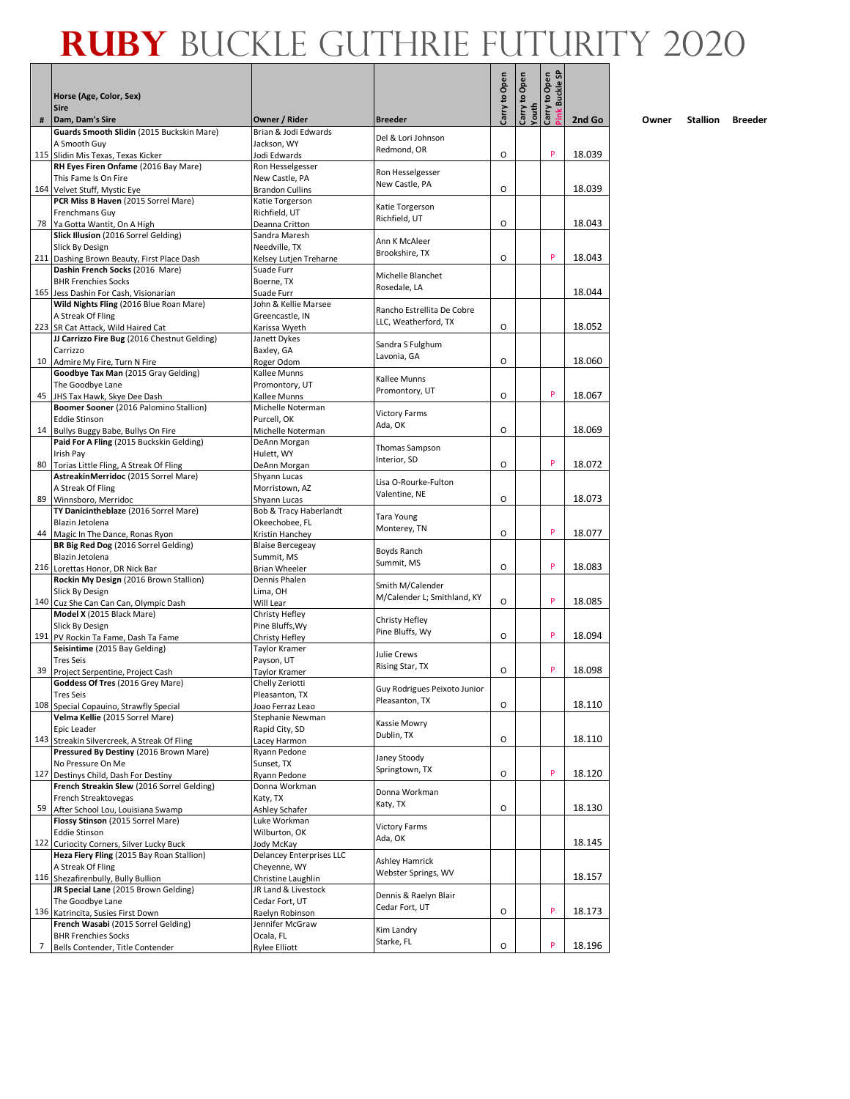|    |                                                                                       |                                               |                                                 | Carry to Open | Carry to Open | Carry to Open<br><b>Buckle SF</b> |        |
|----|---------------------------------------------------------------------------------------|-----------------------------------------------|-------------------------------------------------|---------------|---------------|-----------------------------------|--------|
|    | Horse (Age, Color, Sex)<br><b>Sire</b>                                                |                                               |                                                 |               |               |                                   |        |
| #  | Dam, Dam's Sire                                                                       | Owner / Rider                                 | <b>Breeder</b>                                  |               | Youth         |                                   | 2nd Go |
|    | Guards Smooth Slidin (2015 Buckskin Mare)                                             | Brian & Jodi Edwards                          | Del & Lori Johnson                              |               |               |                                   |        |
|    | A Smooth Guy                                                                          | Jackson, WY                                   | Redmond, OR                                     | 0             |               | P                                 | 18.039 |
|    | 115 Slidin Mis Texas, Texas Kicker<br>RH Eyes Firen Onfame (2016 Bay Mare)            | Jodi Edwards<br>Ron Hesselgesser              |                                                 |               |               |                                   |        |
|    | This Fame Is On Fire                                                                  | New Castle, PA                                | Ron Hesselgesser                                |               |               |                                   |        |
|    | 164 Velvet Stuff, Mystic Eye                                                          | <b>Brandon Cullins</b>                        | New Castle, PA                                  | O             |               |                                   | 18.039 |
|    | PCR Miss B Haven (2015 Sorrel Mare)<br>Frenchmans Guy                                 | Katie Torgerson<br>Richfield, UT              | Katie Torgerson                                 |               |               |                                   |        |
|    | 78 Ya Gotta Wantit, On A High                                                         | Deanna Critton                                | Richfield, UT                                   | O             |               |                                   | 18.043 |
|    | Slick Illusion (2016 Sorrel Gelding)                                                  | Sandra Maresh                                 | Ann K McAleer                                   |               |               |                                   |        |
|    | Slick By Design                                                                       | Needville, TX                                 | Brookshire, TX                                  |               |               | P                                 |        |
|    | 211 Dashing Brown Beauty, First Place Dash<br>Dashin French Socks (2016 Mare)         | Kelsey Lutjen Treharne<br>Suade Furr          |                                                 | 0             |               |                                   | 18.043 |
|    | <b>BHR Frenchies Socks</b>                                                            | Boerne, TX                                    | Michelle Blanchet                               |               |               |                                   |        |
|    | 165 Jess Dashin For Cash, Visionarian                                                 | Suade Furr                                    | Rosedale, LA                                    |               |               |                                   | 18.044 |
|    | Wild Nights Fling (2016 Blue Roan Mare)                                               | John & Kellie Marsee                          | Rancho Estrellita De Cobre                      |               |               |                                   |        |
|    | A Streak Of Fling<br>223 SR Cat Attack, Wild Haired Cat                               | Greencastle, IN<br>Karissa Wyeth              | LLC, Weatherford, TX                            | O             |               |                                   | 18.052 |
|    | JJ Carrizzo Fire Bug (2016 Chestnut Gelding)                                          | Janett Dykes                                  |                                                 |               |               |                                   |        |
|    | Carrizzo                                                                              | Baxley, GA                                    | Sandra S Fulghum<br>Lavonia, GA                 |               |               |                                   |        |
|    | 10 Admire My Fire, Turn N Fire                                                        | Roger Odom                                    |                                                 | O             |               |                                   | 18.060 |
|    | Goodbye Tax Man (2015 Gray Gelding)<br>The Goodbye Lane                               | Kallee Munns<br>Promontory, UT                | Kallee Munns                                    |               |               |                                   |        |
|    | 45 JHS Tax Hawk, Skye Dee Dash                                                        | Kallee Munns                                  | Promontory, UT                                  | O             |               | P                                 | 18.067 |
|    | Boomer Sooner (2016 Palomino Stallion)                                                | Michelle Noterman                             | <b>Victory Farms</b>                            |               |               |                                   |        |
|    | <b>Eddie Stinson</b>                                                                  | Purcell, OK                                   | Ada, OK                                         |               |               |                                   |        |
|    | 14 Bullys Buggy Babe, Bullys On Fire<br>Paid For A Fling (2015 Buckskin Gelding)      | Michelle Noterman<br>DeAnn Morgan             |                                                 | O             |               |                                   | 18.069 |
|    | Irish Pay                                                                             | Hulett, WY                                    | Thomas Sampson                                  |               |               |                                   |        |
|    | 80 Torias Little Fling, A Streak Of Fling                                             | DeAnn Morgan                                  | Interior, SD                                    | O             |               | P                                 | 18.072 |
|    | AstreakinMerridoc (2015 Sorrel Mare)                                                  | Shyann Lucas                                  | Lisa O-Rourke-Fulton                            |               |               |                                   |        |
| 89 | A Streak Of Fling                                                                     | Morristown, AZ                                | Valentine, NE                                   | O             |               |                                   | 18.073 |
|    | Winnsboro, Merridoc<br>TY Danicintheblaze (2016 Sorrel Mare)                          | Shyann Lucas<br>Bob & Tracy Haberlandt        |                                                 |               |               |                                   |        |
|    | Blazin Jetolena                                                                       | Okeechobee, FL                                | Tara Young                                      |               |               |                                   |        |
|    | 44 Magic In The Dance, Ronas Ryon                                                     | Kristin Hanchey                               | Monterey, TN                                    | 0             |               | P                                 | 18.077 |
|    | BR Big Red Dog (2016 Sorrel Gelding)                                                  | <b>Blaise Bercegeay</b>                       | Boyds Ranch                                     |               |               |                                   |        |
|    | Blazin Jetolena<br>216 Lorettas Honor, DR Nick Bar                                    | Summit, MS<br><b>Brian Wheeler</b>            | Summit, MS                                      | 0             |               | P                                 | 18.083 |
|    | Rockin My Design (2016 Brown Stallion)                                                | Dennis Phalen                                 |                                                 |               |               |                                   |        |
|    | Slick By Design                                                                       | Lima, OH                                      | Smith M/Calender<br>M/Calender L; Smithland, KY |               |               |                                   |        |
|    | 140 Cuz She Can Can Can, Olympic Dash                                                 | Will Lear                                     |                                                 | O             |               | P                                 | 18.085 |
|    | Model X (2015 Black Mare)<br>Slick By Design                                          | Christy Hefley<br>Pine Bluffs, Wy             | Christy Hefley                                  |               |               |                                   |        |
|    | 191 PV Rockin Ta Fame, Dash Ta Fame                                                   | Christy Hefley                                | Pine Bluffs, Wy                                 | 0             |               | P                                 | 18.094 |
|    | Seisintime (2015 Bay Gelding)                                                         | Taylor Kramer                                 | Julie Crews                                     |               |               |                                   |        |
|    | <b>Tres Seis</b>                                                                      | Payson, UT                                    | Rising Star, TX                                 | O             |               | P                                 | 18.098 |
|    | 39 Project Serpentine, Project Cash<br>Goddess Of Tres (2016 Grey Mare)               | Taylor Kramer<br>Chelly Zeriotti              |                                                 |               |               |                                   |        |
|    | Tres Seis                                                                             | Pleasanton, TX                                | Guy Rodrigues Peixoto Junior                    |               |               |                                   |        |
|    | 108 Special Copauino, Strawfly Special                                                | Joao Ferraz Leao                              | Pleasanton, TX                                  | O             |               |                                   | 18.110 |
|    | Velma Kellie (2015 Sorrel Mare)                                                       | Stephanie Newman                              | Kassie Mowry                                    |               |               |                                   |        |
|    | Epic Leader<br>143 Streakin Silvercreek, A Streak Of Fling                            | Rapid City, SD<br>Lacey Harmon                | Dublin, TX                                      | O             |               |                                   | 18.110 |
|    | Pressured By Destiny (2016 Brown Mare)                                                | Ryann Pedone                                  |                                                 |               |               |                                   |        |
|    | No Pressure On Me                                                                     | Sunset, TX                                    | Janey Stoody<br>Springtown, TX                  |               |               |                                   |        |
|    | 127 Destinys Child, Dash For Destiny<br>French Streakin Slew (2016 Sorrel Gelding)    | Ryann Pedone<br>Donna Workman                 |                                                 | O             |               | P                                 | 18.120 |
|    | French Streaktovegas                                                                  | Katy, TX                                      | Donna Workman                                   |               |               |                                   |        |
|    | 59 After School Lou, Louisiana Swamp                                                  | Ashley Schafer                                | Katy, TX                                        | O             |               |                                   | 18.130 |
|    | Flossy Stinson (2015 Sorrel Mare)                                                     | Luke Workman                                  | <b>Victory Farms</b>                            |               |               |                                   |        |
|    | <b>Eddie Stinson</b>                                                                  | Wilburton, OK                                 | Ada, OK                                         |               |               |                                   | 18.145 |
|    | 122 Curiocity Corners, Silver Lucky Buck<br>Heza Fiery Fling (2015 Bay Roan Stallion) | Jody McKay<br><b>Delancey Enterprises LLC</b> |                                                 |               |               |                                   |        |
|    | A Streak Of Fling                                                                     | Cheyenne, WY                                  | Ashley Hamrick                                  |               |               |                                   |        |
|    | 116 Shezafirenbully, Bully Bullion                                                    | Christine Laughlin                            | Webster Springs, WV                             |               |               |                                   | 18.157 |
|    | JR Special Lane (2015 Brown Gelding)                                                  | JR Land & Livestock                           | Dennis & Raelyn Blair                           |               |               |                                   |        |
|    | The Goodbye Lane<br>136 Katrincita, Susies First Down                                 | Cedar Fort, UT<br>Raelyn Robinson             | Cedar Fort, UT                                  | O             |               | P                                 | 18.173 |
|    | French Wasabi (2015 Sorrel Gelding)                                                   | Jennifer McGraw                               |                                                 |               |               |                                   |        |
|    | <b>BHR Frenchies Socks</b>                                                            | Ocala, FL                                     | Kim Landry<br>Starke, FL                        |               |               |                                   |        |
| 7  | Bells Contender, Title Contender                                                      | <b>Rylee Elliott</b>                          |                                                 | О             |               | P                                 | 18.196 |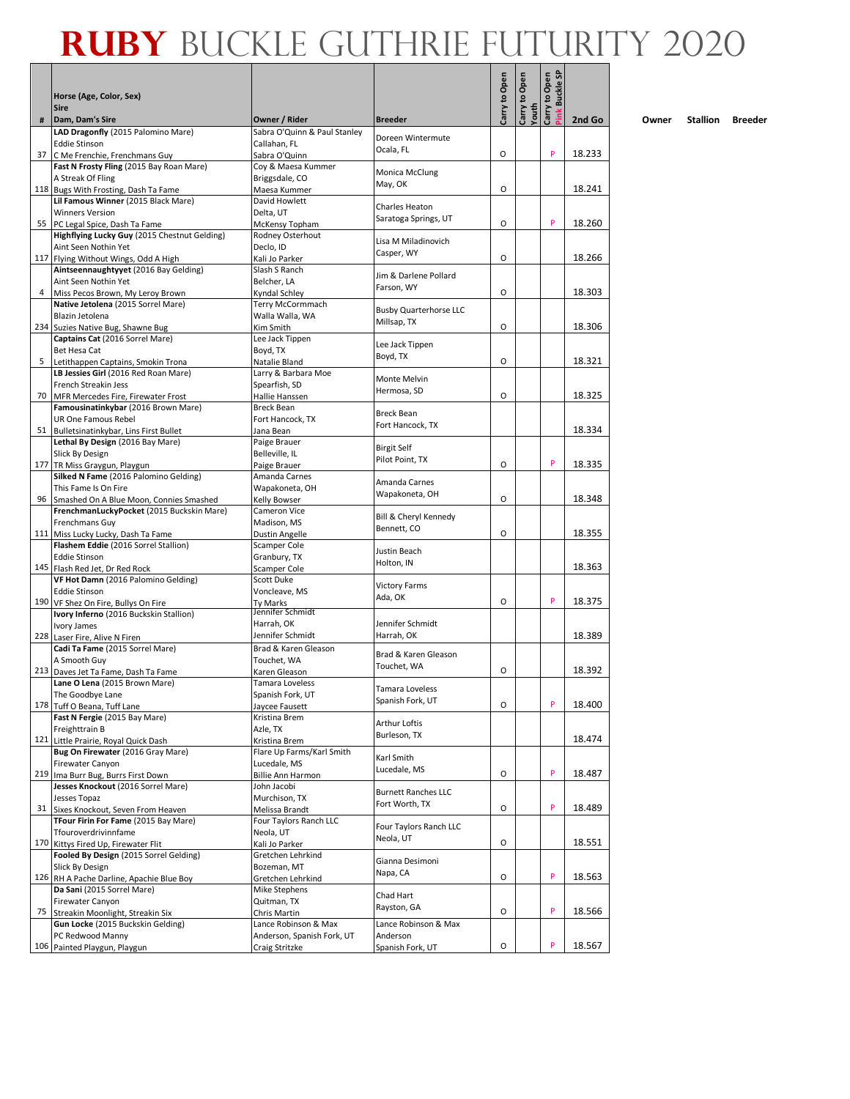Г

|   |                                                                                         |                                         |                                | Carry to Open | Carry to Open | Carry to Open<br><b>Buckle SF</b> |        |
|---|-----------------------------------------------------------------------------------------|-----------------------------------------|--------------------------------|---------------|---------------|-----------------------------------|--------|
|   | Horse (Age, Color, Sex)<br><b>Sire</b>                                                  |                                         |                                |               |               |                                   |        |
| # | Dam, Dam's Sire                                                                         | Owner / Rider                           | <b>Breeder</b>                 |               | Youth         |                                   | 2nd Go |
|   | LAD Dragonfly (2015 Palomino Mare)                                                      | Sabra O'Quinn & Paul Stanley            | Doreen Wintermute              |               |               |                                   |        |
|   | <b>Eddie Stinson</b>                                                                    | Callahan, FL                            | Ocala, FL                      |               |               | P                                 |        |
|   | 37 C Me Frenchie, Frenchmans Guy                                                        | Sabra O'Quinn                           |                                | O             |               |                                   | 18.233 |
|   | Fast N Frosty Fling (2015 Bay Roan Mare)<br>A Streak Of Fling                           | Coy & Maesa Kummer<br>Briggsdale, CO    | Monica McClung                 |               |               |                                   |        |
|   | 118 Bugs With Frosting, Dash Ta Fame                                                    | Maesa Kummer                            | May, OK                        | O             |               |                                   | 18.241 |
|   | Lil Famous Winner (2015 Black Mare)                                                     | David Howlett                           | Charles Heaton                 |               |               |                                   |        |
|   | <b>Winners Version</b>                                                                  | Delta, UT                               | Saratoga Springs, UT           |               |               |                                   |        |
|   | 55 PC Legal Spice, Dash Ta Fame                                                         | McKensy Topham<br>Rodney Osterhout      |                                | O             |               | P                                 | 18.260 |
|   | Highflying Lucky Guy (2015 Chestnut Gelding)<br>Aint Seen Nothin Yet                    | Declo, ID                               | Lisa M Miladinovich            |               |               |                                   |        |
|   | 117 Flying Without Wings, Odd A High                                                    | Kali Jo Parker                          | Casper, WY                     | O             |               |                                   | 18.266 |
|   | Aintseennaughtyyet (2016 Bay Gelding)                                                   | Slash S Ranch                           | Jim & Darlene Pollard          |               |               |                                   |        |
|   | Aint Seen Nothin Yet                                                                    | Belcher, LA                             | Farson, WY                     |               |               |                                   |        |
|   | Miss Pecos Brown, My Leroy Brown<br>Native Jetolena (2015 Sorrel Mare)                  | Kyndal Schley<br>Terry McCormmach       |                                | O             |               |                                   | 18.303 |
|   | Blazin Jetolena                                                                         | Walla Walla, WA                         | <b>Busby Quarterhorse LLC</b>  |               |               |                                   |        |
|   | 234 Suzies Native Bug, Shawne Bug                                                       | Kim Smith                               | Millsap, TX                    | O             |               |                                   | 18.306 |
|   | Captains Cat (2016 Sorrel Mare)                                                         | Lee Jack Tippen                         | Lee Jack Tippen                |               |               |                                   |        |
|   | Bet Hesa Cat                                                                            | Boyd, TX                                | Boyd, TX                       |               |               |                                   |        |
|   | 5 Letithappen Captains, Smokin Trona<br>LB Jessies Girl (2016 Red Roan Mare)            | Natalie Bland<br>Larry & Barbara Moe    |                                | O             |               |                                   | 18.321 |
|   | French Streakin Jess                                                                    | Spearfish, SD                           | Monte Melvin                   |               |               |                                   |        |
|   | 70 MFR Mercedes Fire, Firewater Frost                                                   | Hallie Hanssen                          | Hermosa, SD                    | O             |               |                                   | 18.325 |
|   | Famousinatinkybar (2016 Brown Mare)                                                     | Breck Bean                              | <b>Breck Bean</b>              |               |               |                                   |        |
|   | UR One Famous Rebel                                                                     | Fort Hancock, TX                        | Fort Hancock, TX               |               |               |                                   |        |
|   | 51 Bulletsinatinkybar, Lins First Bullet<br>Lethal By Design (2016 Bay Mare)            | Jana Bean<br>Paige Brauer               |                                |               |               |                                   | 18.334 |
|   | Slick By Design                                                                         | Belleville, IL                          | <b>Birgit Self</b>             |               |               |                                   |        |
|   | 177 TR Miss Graygun, Playgun                                                            | Paige Brauer                            | Pilot Point, TX                | O             |               | P                                 | 18.335 |
|   | Silked N Fame (2016 Palomino Gelding)                                                   | Amanda Carnes                           | Amanda Carnes                  |               |               |                                   |        |
|   | This Fame Is On Fire                                                                    | Wapakoneta, OH                          | Wapakoneta, OH                 |               |               |                                   |        |
|   | 96 Smashed On A Blue Moon, Connies Smashed<br>FrenchmanLuckyPocket (2015 Buckskin Mare) | Kelly Bowser<br>Cameron Vice            |                                | O             |               |                                   | 18.348 |
|   | Frenchmans Guy                                                                          | Madison, MS                             | Bill & Cheryl Kennedy          |               |               |                                   |        |
|   | 111 Miss Lucky Lucky, Dash Ta Fame                                                      | Dustin Angelle                          | Bennett, CO                    | O             |               |                                   | 18.355 |
|   | Flashem Eddie (2016 Sorrel Stallion)                                                    | Scamper Cole                            | Justin Beach                   |               |               |                                   |        |
|   | <b>Eddie Stinson</b>                                                                    | Granbury, TX                            | Holton, IN                     |               |               |                                   |        |
|   | 145 Flash Red Jet, Dr Red Rock<br>VF Hot Damn (2016 Palomino Gelding)                   | Scamper Cole<br><b>Scott Duke</b>       |                                |               |               |                                   | 18.363 |
|   | <b>Eddie Stinson</b>                                                                    | Voncleave, MS                           | <b>Victory Farms</b>           |               |               |                                   |        |
|   | 190 VF Shez On Fire, Bullys On Fire                                                     | Ty Marks                                | Ada, OK                        | O             |               | P                                 | 18.375 |
|   | Ivory Inferno (2016 Buckskin Stallion)                                                  | Jennifer Schmidt                        |                                |               |               |                                   |        |
|   | Ivory James                                                                             | Harrah, OK<br>Jennifer Schmidt          | Jennifer Schmidt<br>Harrah, OK |               |               |                                   | 18.389 |
|   | 228 Laser Fire, Alive N Firen<br>Cadi Ta Fame (2015 Sorrel Mare)                        | Brad & Karen Gleason                    |                                |               |               |                                   |        |
|   | A Smooth Guy                                                                            | Touchet, WA                             | Brad & Karen Gleason           |               |               |                                   |        |
|   | 213 Daves Jet Ta Fame, Dash Ta Fame                                                     | Karen Gleason                           | Touchet, WA                    | O             |               |                                   | 18.392 |
|   | Lane O Lena (2015 Brown Mare)                                                           | Tamara Loveless                         | <b>Tamara Loveless</b>         |               |               |                                   |        |
|   | The Goodbye Lane                                                                        | Spanish Fork, UT                        | Spanish Fork, UT               | O             |               | P                                 | 18.400 |
|   | 178 Tuff O Beana, Tuff Lane<br>Fast N Fergie (2015 Bay Mare)                            | Jaycee Fausett<br>Kristina Brem         |                                |               |               |                                   |        |
|   | Freighttrain B                                                                          | Azle, TX                                | <b>Arthur Loftis</b>           |               |               |                                   |        |
|   | 121 Little Prairie, Royal Quick Dash                                                    | Kristina Brem                           | Burleson, TX                   |               |               |                                   | 18.474 |
|   | Bug On Firewater (2016 Gray Mare)                                                       | Flare Up Farms/Karl Smith               | Karl Smith                     |               |               |                                   |        |
|   | Firewater Canyon                                                                        | Lucedale, MS                            | Lucedale, MS                   |               |               | P                                 |        |
|   | 219 Ima Burr Bug, Burrs First Down<br>Jesses Knockout (2016 Sorrel Mare)                | <b>Billie Ann Harmon</b><br>John Jacobi |                                | O             |               |                                   | 18.487 |
|   | Jesses Topaz                                                                            | Murchison, TX                           | <b>Burnett Ranches LLC</b>     |               |               |                                   |        |
|   | 31 Sixes Knockout, Seven From Heaven                                                    | Melissa Brandt                          | Fort Worth, TX                 | О             |               | P                                 | 18.489 |
|   | TFour Firin For Fame (2015 Bay Mare)                                                    | Four Taylors Ranch LLC                  | Four Taylors Ranch LLC         |               |               |                                   |        |
|   | Tfouroverdrivinnfame                                                                    | Neola, UT                               | Neola, UT                      |               |               |                                   |        |
|   | 170 Kittys Fired Up, Firewater Flit<br>Fooled By Design (2015 Sorrel Gelding)           | Kali Jo Parker<br>Gretchen Lehrkind     |                                | О             |               |                                   | 18.551 |
|   | Slick By Design                                                                         | Bozeman, MT                             | Gianna Desimoni                |               |               |                                   |        |
|   | 126 RH A Pache Darline, Apachie Blue Boy                                                | Gretchen Lehrkind                       | Napa, CA                       | О             |               | P                                 | 18.563 |
|   | Da Sani (2015 Sorrel Mare)                                                              | Mike Stephens                           | Chad Hart                      |               |               |                                   |        |
|   | Firewater Canyon                                                                        | Quitman, TX                             | Rayston, GA                    |               |               | P                                 |        |
|   | 75 Streakin Moonlight, Streakin Six<br>Gun Locke (2015 Buckskin Gelding)                | Chris Martin<br>Lance Robinson & Max    | Lance Robinson & Max           | O             |               |                                   | 18.566 |
|   | PC Redwood Manny                                                                        | Anderson, Spanish Fork, UT              | Anderson                       |               |               |                                   |        |
|   | 106 Painted Playgun, Playgun                                                            | Craig Stritzke                          | Spanish Fork, UT               | O             |               | P                                 | 18.567 |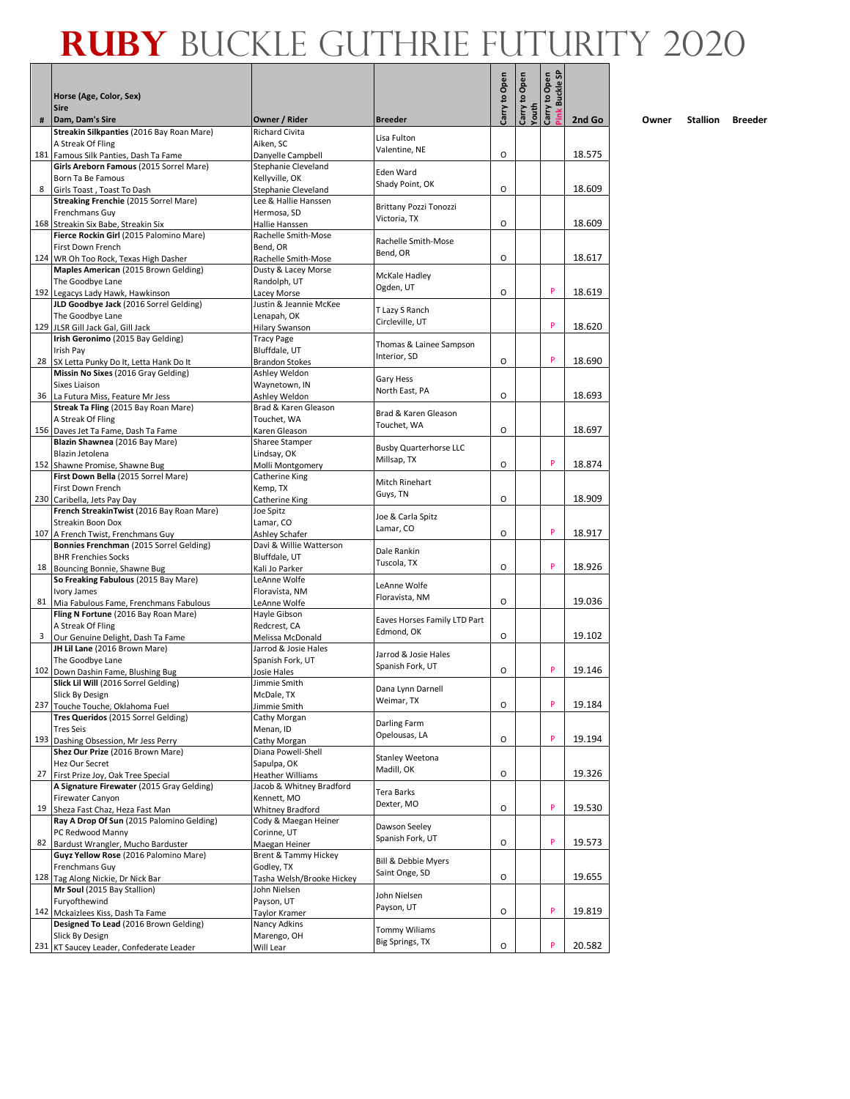|     |                                                                           |                                            |                                          | Carry to Open | Carry to Open<br>Youth | Carry to Open<br><b>Buckle SF</b> |        |
|-----|---------------------------------------------------------------------------|--------------------------------------------|------------------------------------------|---------------|------------------------|-----------------------------------|--------|
|     | Horse (Age, Color, Sex)<br><b>Sire</b>                                    |                                            |                                          |               |                        |                                   |        |
| #   | Dam, Dam's Sire                                                           | Owner / Rider                              | <b>Breeder</b>                           |               |                        |                                   | 2nd Go |
|     | Streakin Silkpanties (2016 Bay Roan Mare)                                 | Richard Civita                             | Lisa Fulton                              |               |                        |                                   |        |
|     | A Streak Of Fling<br>181 Famous Silk Panties, Dash Ta Fame                | Aiken, SC<br>Danyelle Campbell             | Valentine, NE                            | O             |                        |                                   | 18.575 |
|     | Girls Areborn Famous (2015 Sorrel Mare)                                   | Stephanie Cleveland                        |                                          |               |                        |                                   |        |
|     | Born Ta Be Famous                                                         | Kellyville, OK                             | Eden Ward<br>Shady Point, OK             |               |                        |                                   |        |
| 8   | Girls Toast, Toast To Dash                                                | Stephanie Cleveland                        |                                          | O             |                        |                                   | 18.609 |
|     | Streaking Frenchie (2015 Sorrel Mare)<br>Frenchmans Guy                   | Lee & Hallie Hanssen<br>Hermosa, SD        | Brittany Pozzi Tonozzi                   |               |                        |                                   |        |
|     | 168 Streakin Six Babe, Streakin Six                                       | Hallie Hanssen                             | Victoria, TX                             | O             |                        |                                   | 18.609 |
|     | Fierce Rockin Girl (2015 Palomino Mare)                                   | Rachelle Smith-Mose                        | Rachelle Smith-Mose                      |               |                        |                                   |        |
| 124 | First Down French                                                         | Bend, OR                                   | Bend, OR                                 | $\circ$       |                        |                                   | 18.617 |
|     | WR Oh Too Rock, Texas High Dasher<br>Maples American (2015 Brown Gelding) | Rachelle Smith-Mose<br>Dusty & Lacey Morse |                                          |               |                        |                                   |        |
|     | The Goodbye Lane                                                          | Randolph, UT                               | McKale Hadley                            |               |                        |                                   |        |
|     | 192 Legacys Lady Hawk, Hawkinson                                          | Lacey Morse                                | Ogden, UT                                | O             |                        | P                                 | 18.619 |
|     | JLD Goodbye Jack (2016 Sorrel Gelding)                                    | Justin & Jeannie McKee                     | T Lazy S Ranch                           |               |                        |                                   |        |
|     | The Goodbye Lane<br>129 JLSR Gill Jack Gal, Gill Jack                     | Lenapah, OK<br><b>Hilary Swanson</b>       | Circleville, UT                          |               |                        | P                                 | 18.620 |
|     | Irish Geronimo (2015 Bay Gelding)                                         | <b>Tracy Page</b>                          |                                          |               |                        |                                   |        |
|     | Irish Pay                                                                 | Bluffdale, UT                              | Thomas & Lainee Sampson<br>Interior, SD  |               |                        |                                   |        |
| 28  | SX Letta Punky Do It, Letta Hank Do It                                    | Brandon Stokes                             |                                          | O             |                        | P                                 | 18.690 |
|     | Missin No Sixes (2016 Gray Gelding)<br>Sixes Liaison                      | Ashley Weldon                              | Gary Hess                                |               |                        |                                   |        |
| 36  | La Futura Miss, Feature Mr Jess                                           | Waynetown, IN<br>Ashley Weldon             | North East, PA                           | O             |                        |                                   | 18.693 |
|     | Streak Ta Fling (2015 Bay Roan Mare)                                      | Brad & Karen Gleason                       |                                          |               |                        |                                   |        |
|     | A Streak Of Fling                                                         | Touchet, WA                                | Brad & Karen Gleason<br>Touchet, WA      |               |                        |                                   |        |
|     | 156 Daves Jet Ta Fame, Dash Ta Fame                                       | Karen Gleason                              |                                          | O             |                        |                                   | 18.697 |
|     | Blazin Shawnea (2016 Bay Mare)<br>Blazin Jetolena                         | Sharee Stamper<br>Lindsay, OK              | <b>Busby Quarterhorse LLC</b>            |               |                        |                                   |        |
|     | 152 Shawne Promise, Shawne Bug                                            | Molli Montgomery                           | Millsap, TX                              | O             |                        | P                                 | 18.874 |
|     | First Down Bella (2015 Sorrel Mare)                                       | Catherine King                             | Mitch Rinehart                           |               |                        |                                   |        |
|     | First Down French                                                         | Kemp, TX                                   | Guys, TN                                 |               |                        |                                   |        |
|     | 230 Caribella, Jets Pay Day<br>French StreakinTwist (2016 Bay Roan Mare)  | Catherine King<br>Joe Spitz                |                                          | O             |                        |                                   | 18.909 |
|     | Streakin Boon Dox                                                         | Lamar, CO                                  | Joe & Carla Spitz                        |               |                        |                                   |        |
| 107 | A French Twist, Frenchmans Guy                                            | Ashley Schafer                             | Lamar, CO                                | O             |                        | P                                 | 18.917 |
|     | Bonnies Frenchman (2015 Sorrel Gelding)                                   | Davi & Willie Watterson                    | Dale Rankin                              |               |                        |                                   |        |
| 18  | <b>BHR Frenchies Socks</b>                                                | Bluffdale, UT                              | Tuscola, TX                              | $\circ$       |                        | P                                 | 18.926 |
|     | Bouncing Bonnie, Shawne Bug<br>So Freaking Fabulous (2015 Bay Mare)       | Kali Jo Parker<br>LeAnne Wolfe             |                                          |               |                        |                                   |        |
|     | Ivory James                                                               | Floravista, NM                             | LeAnne Wolfe                             |               |                        |                                   |        |
| 81  | Mia Fabulous Fame, Frenchmans Fabulous                                    | LeAnne Wolfe                               | Floravista, NM                           | O             |                        |                                   | 19.036 |
|     | Fling N Fortune (2016 Bay Roan Mare)                                      | Hayle Gibson                               | Eaves Horses Family LTD Part             |               |                        |                                   |        |
| 3   | A Streak Of Fling<br>Our Genuine Delight, Dash Ta Fame                    | Redcrest, CA<br>Melissa McDonald           | Edmond, OK                               | O             |                        |                                   | 19.102 |
|     | JH Lil Lane (2016 Brown Mare)                                             | Jarrod & Josie Hales                       |                                          |               |                        |                                   |        |
|     | The Goodbye Lane                                                          | Spanish Fork, UT                           | Jarrod & Josie Hales<br>Spanish Fork, UT |               |                        |                                   |        |
| 102 | Down Dashin Fame, Blushing Bug                                            | Josie Hales                                |                                          | O             |                        | P                                 | 19.146 |
|     | Slick Lil Will (2016 Sorrel Gelding)<br>Slick By Design                   | Jimmie Smith<br>McDale, TX                 | Dana Lynn Darnell                        |               |                        |                                   |        |
|     | 237 Touche Touche, Oklahoma Fuel                                          | Jimmie Smith                               | Weimar, TX                               | O             |                        | P                                 | 19.184 |
|     | Tres Queridos (2015 Sorrel Gelding)                                       | Cathy Morgan                               | Darling Farm                             |               |                        |                                   |        |
|     | <b>Tres Seis</b>                                                          | Menan, ID                                  | Opelousas, LA                            |               |                        | P                                 |        |
| 193 | Dashing Obsession, Mr Jess Perry<br>Shez Our Prize (2016 Brown Mare)      | Cathy Morgan<br>Diana Powell-Shell         |                                          | O             |                        |                                   | 19.194 |
|     | Hez Our Secret                                                            | Sapulpa, OK                                | <b>Stanley Weetona</b>                   |               |                        |                                   |        |
| 27  | First Prize Joy, Oak Tree Special                                         | <b>Heather Williams</b>                    | Madill, OK                               | O             |                        |                                   | 19.326 |
|     | A Signature Firewater (2015 Gray Gelding)                                 | Jacob & Whitney Bradford                   | Tera Barks                               |               |                        |                                   |        |
| 19  | Firewater Canyon<br>Sheza Fast Chaz, Heza Fast Man                        | Kennett, MO<br>Whitney Bradford            | Dexter, MO                               | O             |                        | P                                 | 19.530 |
|     | Ray A Drop Of Sun (2015 Palomino Gelding)                                 | Cody & Maegan Heiner                       |                                          |               |                        |                                   |        |
|     | PC Redwood Manny                                                          | Corinne, UT                                | Dawson Seeley<br>Spanish Fork, UT        |               |                        |                                   |        |
| 82  | Bardust Wrangler, Mucho Barduster                                         | Maegan Heiner                              |                                          | О             |                        | P                                 | 19.573 |
|     | Guyz Yellow Rose (2016 Palomino Mare)                                     | Brent & Tammy Hickey                       | Bill & Debbie Myers                      |               |                        |                                   |        |
|     | Frenchmans Guy<br>128 Tag Along Nickie, Dr Nick Bar                       | Godley, TX<br>Tasha Welsh/Brooke Hickey    | Saint Onge, SD                           | О             |                        |                                   | 19.655 |
|     | Mr Soul (2015 Bay Stallion)                                               | John Nielsen                               |                                          |               |                        |                                   |        |
|     | Furyofthewind                                                             | Payson, UT                                 | John Nielsen<br>Payson, UT               |               |                        |                                   |        |
|     | 142 Mckaizlees Kiss, Dash Ta Fame                                         | Taylor Kramer                              |                                          | O             |                        | P                                 | 19.819 |
|     | Designed To Lead (2016 Brown Gelding)<br>Slick By Design                  | Nancy Adkins<br>Marengo, OH                | <b>Tommy Wiliams</b>                     |               |                        |                                   |        |
|     | 231 KT Saucey Leader, Confederate Leader                                  | Will Lear                                  | Big Springs, TX                          | O             |                        | P                                 | 20.582 |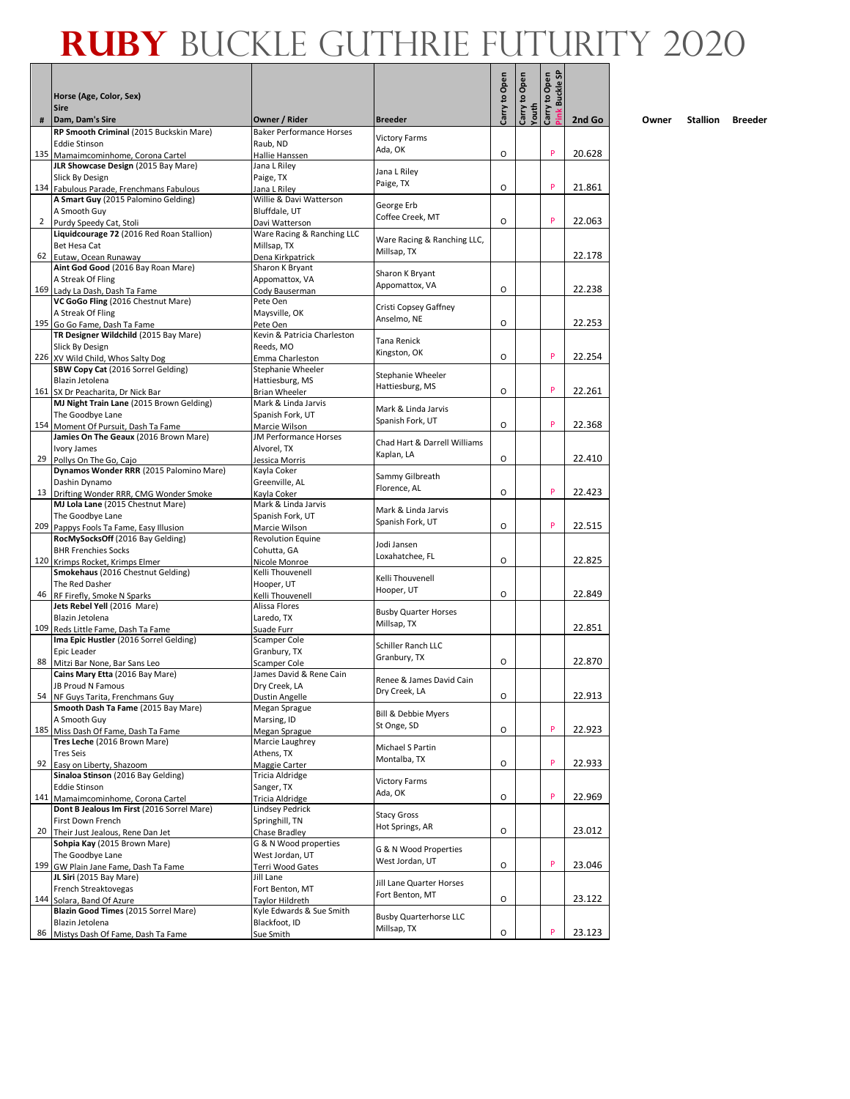Г

|                | Horse (Age, Color, Sex)<br><b>Sire</b>                                    |                                              |                                       | Carry to Open | Carry to Open<br>Youth | Carry to Open<br><b>Buckle SI</b><br><sup>2</sup> ink |        |
|----------------|---------------------------------------------------------------------------|----------------------------------------------|---------------------------------------|---------------|------------------------|-------------------------------------------------------|--------|
| #              | Dam, Dam's Sire                                                           | Owner / Rider                                | <b>Breeder</b>                        |               |                        |                                                       | 2nd Go |
|                | RP Smooth Criminal (2015 Buckskin Mare)<br><b>Eddie Stinson</b>           | <b>Baker Performance Horses</b><br>Raub, ND  | <b>Victory Farms</b><br>Ada, OK       |               |                        | P                                                     | 20.628 |
|                | 135 Mamaimcominhome, Corona Cartel<br>JLR Showcase Design (2015 Bay Mare) | Hallie Hanssen<br>Jana L Riley               |                                       | O             |                        |                                                       |        |
|                | Slick By Design                                                           | Paige, TX                                    | Jana L Riley                          |               |                        |                                                       |        |
|                | 134 Fabulous Parade, Frenchmans Fabulous                                  | Jana L Rilev                                 | Paige, TX                             | O             |                        | P                                                     | 21.861 |
|                | A Smart Guy (2015 Palomino Gelding)                                       | Willie & Davi Watterson                      | George Erb                            |               |                        |                                                       |        |
|                | A Smooth Guy                                                              | Bluffdale, UT                                | Coffee Creek, MT                      |               |                        |                                                       |        |
| $\overline{2}$ | Purdy Speedy Cat, Stoli                                                   | Davi Watterson<br>Ware Racing & Ranching LLC |                                       | O             |                        | P                                                     | 22.063 |
|                | Liquidcourage 72 (2016 Red Roan Stallion)<br>Bet Hesa Cat                 | Millsap, TX                                  | Ware Racing & Ranching LLC,           |               |                        |                                                       |        |
|                | 62 Eutaw, Ocean Runaway                                                   | Dena Kirkpatrick                             | Millsap, TX                           |               |                        |                                                       | 22.178 |
|                | Aint God Good (2016 Bay Roan Mare)                                        | Sharon K Bryant                              |                                       |               |                        |                                                       |        |
|                | A Streak Of Fling                                                         | Appomattox, VA                               | Sharon K Bryant<br>Appomattox, VA     |               |                        |                                                       |        |
|                | 169 Lady La Dash, Dash Ta Fame                                            | Cody Bauserman                               |                                       | $\circ$       |                        |                                                       | 22.238 |
|                | VC GoGo Fling (2016 Chestnut Mare)                                        | Pete Oen                                     | Cristi Copsey Gaffney                 |               |                        |                                                       |        |
| 195            | A Streak Of Fling<br>Go Go Fame, Dash Ta Fame                             | Maysville, OK<br>Pete Oen                    | Anselmo, NE                           | O             |                        |                                                       | 22.253 |
|                | TR Designer Wildchild (2015 Bay Mare)                                     | Kevin & Patricia Charleston                  |                                       |               |                        |                                                       |        |
|                | Slick By Design                                                           | Reeds, MO                                    | <b>Tana Renick</b>                    |               |                        |                                                       |        |
|                | 226 XV Wild Child, Whos Salty Dog                                         | Emma Charleston                              | Kingston, OK                          | O             |                        | P                                                     | 22.254 |
|                | SBW Copy Cat (2016 Sorrel Gelding)                                        | Stephanie Wheeler                            | Stephanie Wheeler                     |               |                        |                                                       |        |
|                | Blazin Jetolena<br>161 SX Dr Peacharita, Dr Nick Bar                      | Hattiesburg, MS<br><b>Brian Wheeler</b>      | Hattiesburg, MS                       | O             |                        | P                                                     | 22.261 |
|                | MJ Night Train Lane (2015 Brown Gelding)                                  | Mark & Linda Jarvis                          |                                       |               |                        |                                                       |        |
|                | The Goodbye Lane                                                          | Spanish Fork, UT                             | Mark & Linda Jarvis                   |               |                        |                                                       |        |
|                | 154 Moment Of Pursuit, Dash Ta Fame                                       | Marcie Wilson                                | Spanish Fork, UT                      | O             |                        | P                                                     | 22.368 |
|                | Jamies On The Geaux (2016 Brown Mare)                                     | <b>JM Performance Horses</b>                 | Chad Hart & Darrell Williams          |               |                        |                                                       |        |
|                | Ivory James                                                               | Alvorel, TX                                  | Kaplan, LA                            |               |                        |                                                       |        |
| 29             | Pollys On The Go, Cajo<br>Dynamos Wonder RRR (2015 Palomino Mare)         | Jessica Morris<br>Kayla Coker                |                                       | O             |                        |                                                       | 22.410 |
|                | Dashin Dynamo                                                             | Greenville, AL                               | Sammy Gilbreath                       |               |                        |                                                       |        |
|                | 13 Drifting Wonder RRR, CMG Wonder Smoke                                  | Kayla Coker                                  | Florence, AL                          | O             |                        | P                                                     | 22.423 |
|                | MJ Lola Lane (2015 Chestnut Mare)                                         | Mark & Linda Jarvis                          | Mark & Linda Jarvis                   |               |                        |                                                       |        |
|                | The Goodbye Lane                                                          | Spanish Fork, UT                             | Spanish Fork, UT                      |               |                        |                                                       |        |
|                | 209 Pappys Fools Ta Fame, Easy Illusion                                   | Marcie Wilson                                |                                       | O             |                        | P                                                     | 22.515 |
|                | RocMySocksOff (2016 Bay Gelding)<br><b>BHR Frenchies Socks</b>            | <b>Revolution Equine</b><br>Cohutta, GA      | Jodi Jansen                           |               |                        |                                                       |        |
| 120            | Krimps Rocket, Krimps Elmer                                               | Nicole Monroe                                | Loxahatchee, FL                       | O             |                        |                                                       | 22.825 |
|                | Smokehaus (2016 Chestnut Gelding)                                         | Kelli Thouvenell                             |                                       |               |                        |                                                       |        |
|                | The Red Dasher                                                            | Hooper, UT                                   | Kelli Thouvenell<br>Hooper, UT        |               |                        |                                                       |        |
| 46             | RF Firefly, Smoke N Sparks                                                | Kelli Thouvenell                             |                                       | O             |                        |                                                       | 22.849 |
|                | Jets Rebel Yell (2016 Mare)<br>Blazin Jetolena                            | Alissa Flores                                | <b>Busby Quarter Horses</b>           |               |                        |                                                       |        |
| 109            | Reds Little Fame, Dash Ta Fame                                            | Laredo, TX<br>Suade Furr                     | Millsap. TX                           |               |                        |                                                       | 22.851 |
|                | Ima Epic Hustler (2016 Sorrel Gelding)                                    | Scamper Cole                                 |                                       |               |                        |                                                       |        |
|                | Epic Leader                                                               | Granbury, TX                                 | Schiller Ranch LLC                    |               |                        |                                                       |        |
| 88             | Mitzi Bar None, Bar Sans Leo                                              | Scamper Cole                                 | Granbury, TX                          | O             |                        |                                                       | 22.870 |
|                | Cains Mary Etta (2016 Bay Mare)                                           | James David & Rene Cain                      | Renee & James David Cain              |               |                        |                                                       |        |
|                | <b>JB Proud N Famous</b>                                                  | Dry Creek, LA                                | Dry Creek, LA                         | O             |                        |                                                       | 22.913 |
|                | 54 NF Guys Tarita, Frenchmans Guy<br>Smooth Dash Ta Fame (2015 Bay Mare)  | Dustin Angelle<br>Megan Sprague              |                                       |               |                        |                                                       |        |
|                | A Smooth Guy                                                              | Marsing, ID                                  | Bill & Debbie Myers                   |               |                        |                                                       |        |
|                | 185 Miss Dash Of Fame, Dash Ta Fame                                       | Megan Sprague                                | St Onge, SD                           | O             |                        | P                                                     | 22.923 |
|                | Tres Leche (2016 Brown Mare)                                              | Marcie Laughrey                              | Michael S Partin                      |               |                        |                                                       |        |
|                | <b>Tres Seis</b>                                                          | Athens, TX                                   | Montalba, TX                          | O             |                        | P                                                     |        |
| 92             | Easy on Liberty, Shazoom<br>Sinaloa Stinson (2016 Bay Gelding)            | Maggie Carter<br>Tricia Aldridge             |                                       |               |                        |                                                       | 22.933 |
|                | <b>Eddie Stinson</b>                                                      | Sanger, TX                                   | <b>Victory Farms</b>                  |               |                        |                                                       |        |
| 141            | Mamaimcominhome, Corona Cartel                                            | Tricia Aldridge                              | Ada, OK                               | O             |                        | P                                                     | 22.969 |
|                | Dont B Jealous Im First (2016 Sorrel Mare)                                | Lindsey Pedrick                              |                                       |               |                        |                                                       |        |
|                | First Down French                                                         | Springhill, TN                               | <b>Stacy Gross</b><br>Hot Springs, AR |               |                        |                                                       |        |
| 20             | Their Just Jealous, Rene Dan Jet                                          | Chase Bradley                                |                                       | O             |                        |                                                       | 23.012 |
|                | Sohpia Kay (2015 Brown Mare)                                              | G & N Wood properties                        | G & N Wood Properties                 |               |                        |                                                       |        |
| 199            | The Goodbye Lane<br>GW Plain Jane Fame, Dash Ta Fame                      | West Jordan, UT<br>Terri Wood Gates          | West Jordan, UT                       | O             |                        | P                                                     | 23.046 |
|                | JL Siri (2015 Bay Mare)                                                   | Jill Lane                                    |                                       |               |                        |                                                       |        |
|                | French Streaktovegas                                                      | Fort Benton, MT                              | Jill Lane Quarter Horses              |               |                        |                                                       |        |
| 144            | Solara, Band Of Azure                                                     | Taylor Hildreth                              | Fort Benton, MT                       | O             |                        |                                                       | 23.122 |
|                | Blazin Good Times (2015 Sorrel Mare)                                      | Kyle Edwards & Sue Smith                     | <b>Busby Quarterhorse LLC</b>         |               |                        |                                                       |        |
|                | Blazin Jetolena<br>86 Mistys Dash Of Fame, Dash Ta Fame                   | Blackfoot, ID<br>Sue Smith                   | Millsap, TX                           | O             |                        | P                                                     | 23.123 |
|                |                                                                           |                                              |                                       |               |                        |                                                       |        |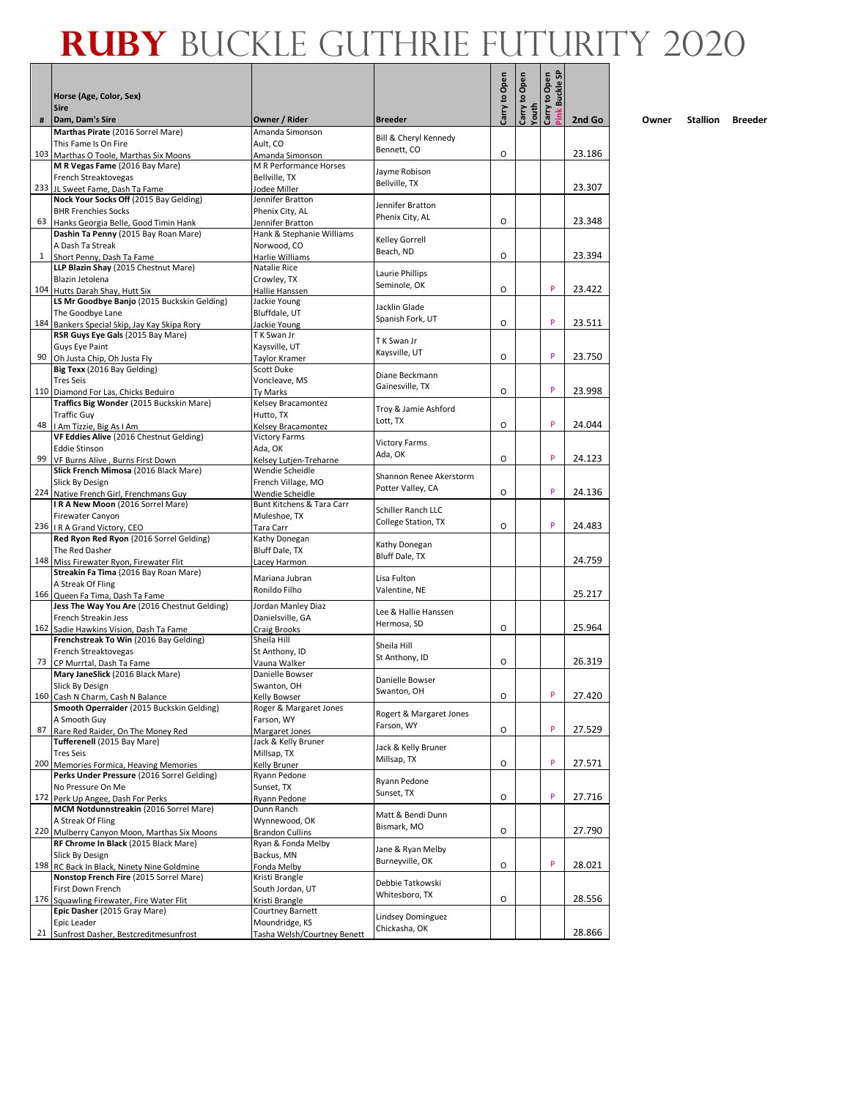|      | Horse (Age, Color, Sex)                                                           |                                           |                                    | Carry to Open | to Open        | Carry to Open<br><b>Buckle SP</b> |        |
|------|-----------------------------------------------------------------------------------|-------------------------------------------|------------------------------------|---------------|----------------|-----------------------------------|--------|
|      | <b>Sire</b>                                                                       |                                           |                                    |               | Youth<br>Carry | Pink                              |        |
| #    | Dam, Dam's Sire                                                                   | Owner / Rider                             | <b>Breeder</b>                     |               |                |                                   | 2nd Go |
|      | Marthas Pirate (2016 Sorrel Mare)<br>This Fame Is On Fire                         | Amanda Simonson<br>Ault, CO               | Bill & Cheryl Kennedy              |               |                |                                   |        |
|      | 103 Marthas O Toole, Marthas Six Moons                                            | Amanda Simonson                           | Bennett, CO                        | O             |                |                                   | 23.186 |
|      | M R Vegas Fame (2016 Bay Mare)                                                    | M R Performance Horses                    | Jayme Robison                      |               |                |                                   |        |
|      | French Streaktovegas                                                              | Bellville, TX                             | Bellville, TX                      |               |                |                                   |        |
|      | 233 JL Sweet Fame, Dash Ta Fame                                                   | Jodee Miller                              |                                    |               |                |                                   | 23.307 |
|      | Nock Your Socks Off (2015 Bay Gelding)<br><b>BHR Frenchies Socks</b>              | Jennifer Bratton<br>Phenix City, AL       | Jennifer Bratton                   |               |                |                                   |        |
|      | 63 Hanks Georgia Belle, Good Timin Hank                                           | Jennifer Bratton                          | Phenix City, AL                    | O             |                |                                   | 23.348 |
|      | Dashin Ta Penny (2015 Bay Roan Mare)                                              | Hank & Stephanie Williams                 | Kelley Gorrell                     |               |                |                                   |        |
|      | A Dash Ta Streak                                                                  | Norwood, CO                               | Beach, ND                          |               |                |                                   |        |
|      | <sup>1</sup> Short Penny, Dash Ta Fame<br>LLP Blazin Shay (2015 Chestnut Mare)    | Harlie Williams<br>Natalie Rice           |                                    | O             |                |                                   | 23.394 |
|      | Blazin Jetolena                                                                   | Crowley, TX                               | Laurie Phillips                    |               |                |                                   |        |
|      | 104 Hutts Darah Shay, Hutt Six                                                    | Hallie Hanssen                            | Seminole, OK                       | O             |                | P                                 | 23.422 |
|      | LS Mr Goodbye Banjo (2015 Buckskin Gelding)                                       | Jackie Young                              | Jacklin Glade                      |               |                |                                   |        |
|      | The Goodbye Lane                                                                  | Bluffdale, UT                             | Spanish Fork, UT                   | O             |                | P                                 | 23.511 |
|      | 184 Bankers Special Skip, Jay Kay Skipa Rory<br>RSR Guys Eye Gals (2015 Bay Mare) | Jackie Young<br>T K Swan Jr               |                                    |               |                |                                   |        |
|      | Guys Eye Paint                                                                    | Kaysville, UT                             | T K Swan Jr                        |               |                |                                   |        |
| 90 I | Oh Justa Chip, Oh Justa Fly                                                       | Taylor Kramer                             | Kaysville, UT                      | O             |                | P                                 | 23.750 |
|      | Big Texx (2016 Bay Gelding)                                                       | Scott Duke                                | Diane Beckmann                     |               |                |                                   |        |
|      | <b>Tres Seis</b>                                                                  | Voncleave, MS                             | Gainesville, TX                    | O             |                | P                                 | 23.998 |
|      | 110 Diamond For Las, Chicks Beduiro<br>Traffics Big Wonder (2015 Buckskin Mare)   | Ty Marks<br>Kelsey Bracamontez            |                                    |               |                |                                   |        |
|      | <b>Traffic Guy</b>                                                                | Hutto. TX                                 | Troy & Jamie Ashford               |               |                |                                   |        |
|      | 48   I Am Tizzie, Big As I Am                                                     | Kelsey Bracamontez                        | Lott, TX                           | O             |                | P                                 | 24.044 |
|      | VF Eddies Alive (2016 Chestnut Gelding)                                           | <b>Victory Farms</b>                      | <b>Victory Farms</b>               |               |                |                                   |        |
|      | <b>Eddie Stinson</b>                                                              | Ada, OK                                   | Ada, OK                            | $\circ$       |                | P                                 | 24.123 |
|      | 99 VF Burns Alive, Burns First Down<br>Slick French Mimosa (2016 Black Mare)      | Kelsey Lutjen-Treharne<br>Wendie Scheidle |                                    |               |                |                                   |        |
|      | Slick By Design                                                                   | French Village, MO                        | Shannon Renee Akerstorm            |               |                |                                   |        |
|      | 224 Native French Girl, Frenchmans Guy                                            | Wendie Scheidle                           | Potter Valley, CA                  | O             |                | P                                 | 24.136 |
|      | IRA New Moon (2016 Sorrel Mare)                                                   | Bunt Kitchens & Tara Carr                 | Schiller Ranch LLC                 |               |                |                                   |        |
|      | Firewater Canyon<br>236   I R A Grand Victory, CEO                                | Muleshoe, TX                              | College Station, TX                | O             |                | P                                 | 24.483 |
|      | Red Ryon Red Ryon (2016 Sorrel Gelding)                                           | Tara Carr<br>Kathy Donegan                |                                    |               |                |                                   |        |
|      | The Red Dasher                                                                    | Bluff Dale, TX                            | Kathy Donegan                      |               |                |                                   |        |
|      | 148 Miss Firewater Ryon, Firewater Flit                                           | Lacey Harmon                              | Bluff Dale, TX                     |               |                |                                   | 24.759 |
|      | Streakin Fa Tima (2016 Bay Roan Mare)                                             | Mariana Jubran                            | Lisa Fulton                        |               |                |                                   |        |
|      | A Streak Of Fling<br>166 Queen Fa Tima, Dash Ta Fame                              | Ronildo Filho                             | Valentine, NE                      |               |                |                                   | 25.217 |
|      | Jess The Way You Are (2016 Chestnut Gelding)                                      | Jordan Manley Diaz                        |                                    |               |                |                                   |        |
|      | French Streakin Jess                                                              | Danielsville, GA                          | Lee & Hallie Hanssen               |               |                |                                   |        |
|      | 162 Sadie Hawkins Vision, Dash Ta Fame                                            | Craig Brooks                              | Hermosa, SD                        | O             |                |                                   | 25.964 |
|      | Frenchstreak To Win (2016 Bay Gelding)                                            | Sheila Hill                               | Sheila Hill                        |               |                |                                   |        |
|      | French Streaktovegas<br>73 CP Murrtal, Dash Ta Fame                               | St Anthony, ID<br>Vauna Walker            | St Anthony, ID                     | O             |                |                                   | 26.319 |
|      | Mary JaneSlick (2016 Black Mare)                                                  | Danielle Bowser                           |                                    |               |                |                                   |        |
|      | Slick By Design                                                                   | Swanton, OH                               | Danielle Bowser                    |               |                |                                   |        |
|      | 160 Cash N Charm, Cash N Balance                                                  | <b>Kelly Bowser</b>                       | Swanton, OH                        | O             |                | ٢                                 | 27.420 |
|      | Smooth Operraider (2015 Buckskin Gelding)                                         | Roger & Margaret Jones                    | Rogert & Margaret Jones            |               |                |                                   |        |
|      | A Smooth Guy<br>87 Rare Red Raider, On The Money Red                              | Farson, WY<br>Margaret Jones              | Farson, WY                         | 0             |                | P                                 | 27.529 |
|      | Tufferenell (2015 Bay Mare)                                                       | Jack & Kelly Bruner                       |                                    |               |                |                                   |        |
|      | <b>Tres Seis</b>                                                                  | Millsap, TX                               | Jack & Kelly Bruner<br>Millsap, TX |               |                |                                   |        |
|      | 200 Memories Formica, Heaving Memories                                            | Kelly Bruner                              |                                    | O             |                | P                                 | 27.571 |
|      | Perks Under Pressure (2016 Sorrel Gelding)                                        | Ryann Pedone                              | Ryann Pedone                       |               |                |                                   |        |
|      | No Pressure On Me<br>172 Perk Up Angee, Dash For Perks                            | Sunset, TX<br>Ryann Pedone                | Sunset, TX                         | O             |                | P                                 | 27.716 |
|      | MCM Notdunnstreakin (2016 Sorrel Mare)                                            | Dunn Ranch                                |                                    |               |                |                                   |        |
|      | A Streak Of Fling                                                                 | Wynnewood, OK                             | Matt & Bendi Dunn<br>Bismark, MO   |               |                |                                   |        |
|      | 220 Mulberry Canyon Moon, Marthas Six Moons                                       | <b>Brandon Cullins</b>                    |                                    | O             |                |                                   | 27.790 |
|      | RF Chrome In Black (2015 Black Mare)<br>Slick By Design                           | Ryan & Fonda Melby<br>Backus, MN          | Jane & Ryan Melby                  |               |                |                                   |        |
|      | 198 RC Back In Black, Ninety Nine Goldmine                                        | Fonda Melby                               | Burneyville, OK                    | O             |                | P                                 | 28.021 |
|      | Nonstop French Fire (2015 Sorrel Mare)                                            | Kristi Brangle                            |                                    |               |                |                                   |        |
|      | First Down French                                                                 | South Jordan, UT                          | Debbie Tatkowski<br>Whitesboro, TX |               |                |                                   |        |
|      | 176 Squawling Firewater, Fire Water Flit                                          | Kristi Brangle                            |                                    | O             |                |                                   | 28.556 |
|      | Epic Dasher (2015 Gray Mare)<br>Epic Leader                                       | Courtney Barnett<br>Moundridge, KS        | Lindsey Dominguez                  |               |                |                                   |        |
| 21   | Sunfrost Dasher, Bestcreditmesunfrost                                             | Tasha Welsh/Courtney Benett               | Chickasha, OK                      |               |                |                                   | 28.866 |
|      |                                                                                   |                                           |                                    |               |                |                                   |        |